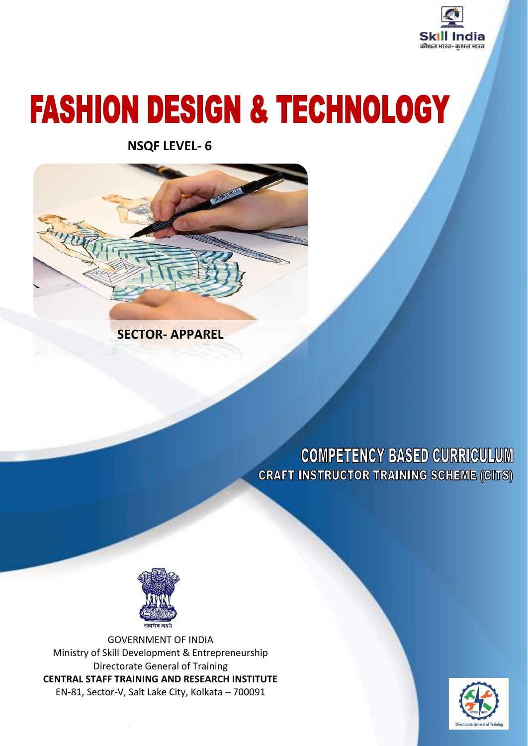

# **FASHION DESIGN & TECHNOLOGY**

**NSQF LEVEL- 6**



**SECTOR- APPAREL**

**COMPETENCY BASED CURRICULUM CRAFT INSTRUCTOR TRAINING SCHEME (CITS)** 



GOVERNMENT OF INDIA Ministry of Skill Development & Entrepreneurship Directorate General of Training **CENTRAL STAFF TRAINING AND RESEARCH INSTITUTE** EN-81, Sector-V, Salt Lake City, Kolkata – 700091

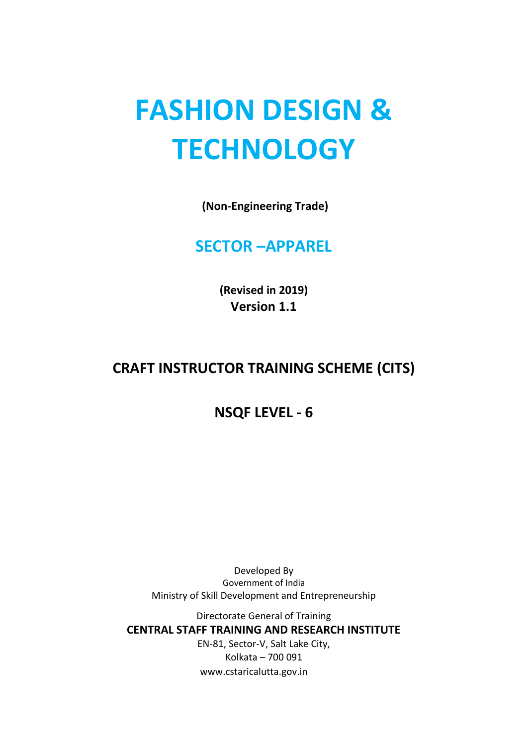## **FASHION DESIGN & TECHNOLOGY**

**(Non-Engineering Trade)**

#### **SECTOR –APPAREL**

**(Revised in 2019) Version 1.1**

#### **CRAFT INSTRUCTOR TRAINING SCHEME (CITS)**

#### **NSQF LEVEL - 6**

Developed By Government of India Ministry of Skill Development and Entrepreneurship

Directorate General of Training **CENTRAL STAFF TRAINING AND RESEARCH INSTITUTE** EN-81, Sector-V, Salt Lake City,

Kolkata – 700 091 www.cstaricalutta.gov.in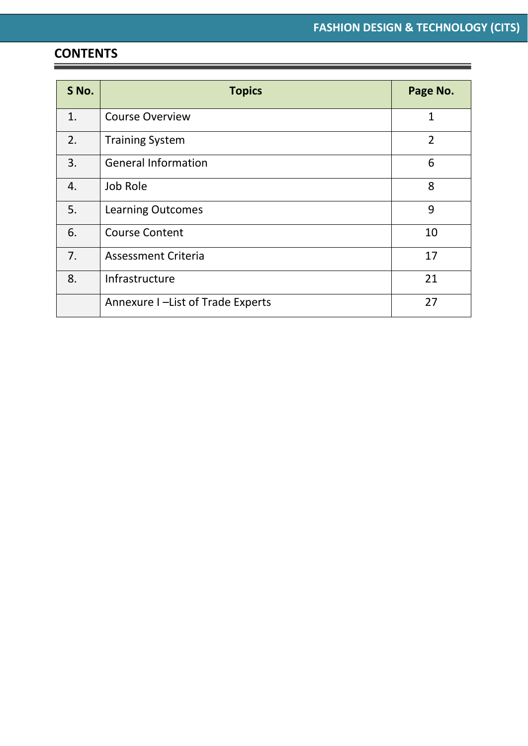#### **CONTENTS**

Ξ

| S No. | <b>Topics</b>                     | Page No.       |
|-------|-----------------------------------|----------------|
| 1.    | <b>Course Overview</b>            | $\mathbf{1}$   |
| 2.    | <b>Training System</b>            | $\overline{2}$ |
| 3.    | <b>General Information</b>        | 6              |
| 4.    | Job Role                          | 8              |
| 5.    | <b>Learning Outcomes</b>          | 9              |
| 6.    | <b>Course Content</b>             | 10             |
| 7.    | <b>Assessment Criteria</b>        | 17             |
| 8.    | Infrastructure                    | 21             |
|       | Annexure I -List of Trade Experts | 27             |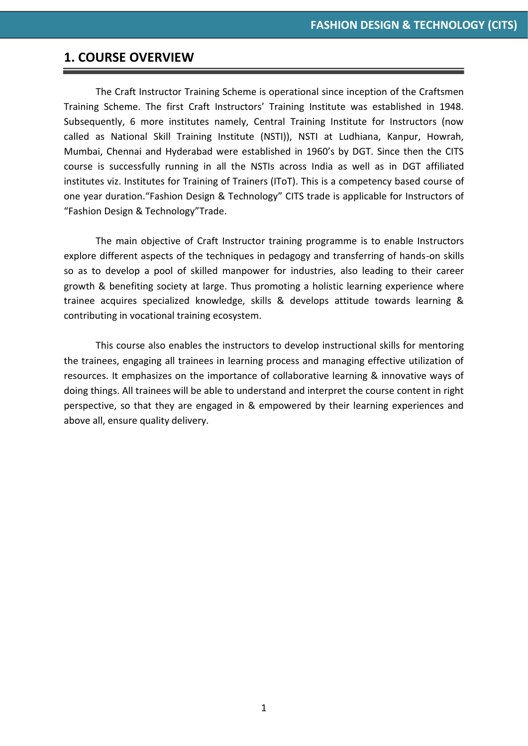#### **1. COURSE OVERVIEW**

The Craft Instructor Training Scheme is operational since inception of the Craftsmen Training Scheme. The first Craft Instructors' Training Institute was established in 1948. Subsequently, 6 more institutes namely, Central Training Institute for Instructors (now called as National Skill Training Institute (NSTI)), NSTI at Ludhiana, Kanpur, Howrah, Mumbai, Chennai and Hyderabad were established in 1960's by DGT. Since then the CITS course is successfully running in all the NSTIs across India as well as in DGT affiliated institutes viz. Institutes for Training of Trainers (IToT). This is a competency based course of one year duration."Fashion Design & Technology" CITS trade is applicable for Instructors of "Fashion Design & Technology"Trade.

The main objective of Craft Instructor training programme is to enable Instructors explore different aspects of the techniques in pedagogy and transferring of hands-on skills so as to develop a pool of skilled manpower for industries, also leading to their career growth & benefiting society at large. Thus promoting a holistic learning experience where trainee acquires specialized knowledge, skills & develops attitude towards learning & contributing in vocational training ecosystem.

This course also enables the instructors to develop instructional skills for mentoring the trainees, engaging all trainees in learning process and managing effective utilization of resources. It emphasizes on the importance of collaborative learning & innovative ways of doing things. All trainees will be able to understand and interpret the course content in right perspective, so that they are engaged in & empowered by their learning experiences and above all, ensure quality delivery.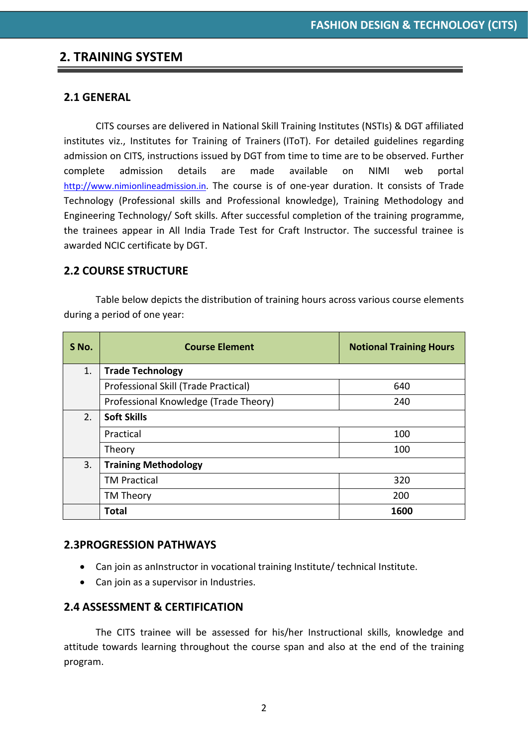#### **2. TRAINING SYSTEM**

#### **2.1 GENERAL**

CITS courses are delivered in National Skill Training Institutes (NSTIs) & DGT affiliated institutes viz., Institutes for Training of Trainers (IToT). For detailed guidelines regarding admission on CITS, instructions issued by DGT from time to time are to be observed. Further complete admission details are made available on NIMI web portal [http://www.nimionlineadmission.in.](http://www.nimionlineadmission.in/) The course is of one-year duration. It consists of Trade Technology (Professional skills and Professional knowledge), Training Methodology and Engineering Technology/ Soft skills. After successful completion of the training programme, the trainees appear in All India Trade Test for Craft Instructor. The successful trainee is awarded NCIC certificate by DGT.

#### **2.2 COURSE STRUCTURE**

Table below depicts the distribution of training hours across various course elements during a period of one year:

| S No. | <b>Course Element</b>                 | <b>Notional Training Hours</b> |  |  |  |  |  |  |
|-------|---------------------------------------|--------------------------------|--|--|--|--|--|--|
| 1.    | <b>Trade Technology</b>               |                                |  |  |  |  |  |  |
|       | Professional Skill (Trade Practical)  | 640                            |  |  |  |  |  |  |
|       | Professional Knowledge (Trade Theory) | 240                            |  |  |  |  |  |  |
| 2.    | <b>Soft Skills</b>                    |                                |  |  |  |  |  |  |
|       | Practical                             | 100                            |  |  |  |  |  |  |
|       | Theory                                | 100                            |  |  |  |  |  |  |
| 3.    | <b>Training Methodology</b>           |                                |  |  |  |  |  |  |
|       | <b>TM Practical</b>                   | 320                            |  |  |  |  |  |  |
|       | TM Theory                             | 200                            |  |  |  |  |  |  |
|       | <b>Total</b>                          | 1600                           |  |  |  |  |  |  |

#### **2.3PROGRESSION PATHWAYS**

- Can join as anInstructor in vocational training Institute/ technical Institute.
- Can join as a supervisor in Industries.

#### **2.4 ASSESSMENT & CERTIFICATION**

The CITS trainee will be assessed for his/her Instructional skills, knowledge and attitude towards learning throughout the course span and also at the end of the training program.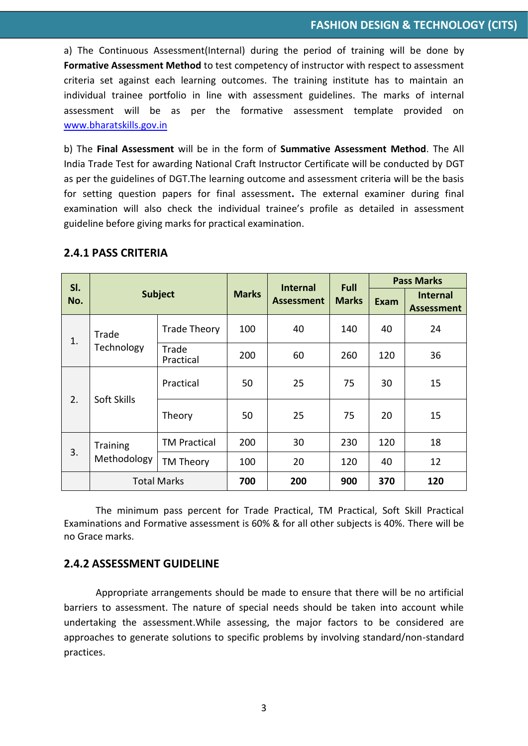a) The Continuous Assessment(Internal) during the period of training will be done by **Formative Assessment Method** to test competency of instructor with respect to assessment criteria set against each learning outcomes. The training institute has to maintain an individual trainee portfolio in line with assessment guidelines. The marks of internal assessment will be as per the formative assessment template provided on [www.bharatskills.gov.in](http://www.bharatskills.gov.in/)

b) The **Final Assessment** will be in the form of **Summative Assessment Method**. The All India Trade Test for awarding National Craft Instructor Certificate will be conducted by DGT as per the guidelines of DGT.The learning outcome and assessment criteria will be the basis for setting question papers for final assessment**.** The external examiner during final examination will also check the individual trainee's profile as detailed in assessment guideline before giving marks for practical examination.

| SI.                       |                     |                     |              | <b>Internal</b>   | <b>Full</b>  | <b>Pass Marks</b> |                                      |
|---------------------------|---------------------|---------------------|--------------|-------------------|--------------|-------------------|--------------------------------------|
| No.                       |                     | <b>Subject</b>      | <b>Marks</b> | <b>Assessment</b> | <b>Marks</b> | Exam              | <b>Internal</b><br><b>Assessment</b> |
| Trade<br>1.<br>Technology | <b>Trade Theory</b> | 100                 | 40           | 140               | 40           | 24                |                                      |
|                           |                     | Trade<br>Practical  | 200          | 60                | 260          | 120               | 36                                   |
| Soft Skills<br>2.         | Practical           | 50                  | 25           | 75                | 30           | 15                |                                      |
|                           |                     | Theory              | 50           | 25                | 75           | 20                | 15                                   |
| <b>Training</b><br>3.     |                     | <b>TM Practical</b> | 200          | 30                | 230          | 120               | 18                                   |
|                           | Methodology         | TM Theory           | 100          | 20                | 120          | 40                | 12                                   |
|                           | <b>Total Marks</b>  |                     | 700          | 200               | 900          | 370               | 120                                  |

#### **2.4.1 PASS CRITERIA**

The minimum pass percent for Trade Practical, TM Practical, Soft Skill Practical Examinations and Formative assessment is 60% & for all other subjects is 40%. There will be no Grace marks.

#### **2.4.2 ASSESSMENT GUIDELINE**

Appropriate arrangements should be made to ensure that there will be no artificial barriers to assessment. The nature of special needs should be taken into account while undertaking the assessment.While assessing, the major factors to be considered are approaches to generate solutions to specific problems by involving standard/non-standard practices.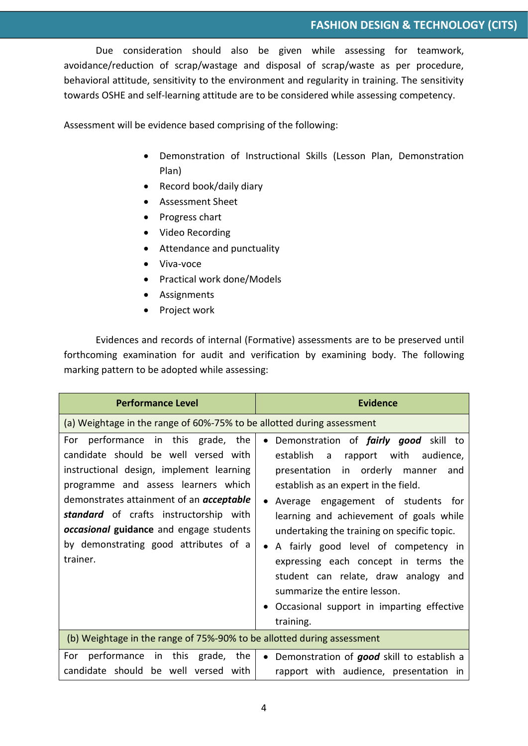Due consideration should also be given while assessing for teamwork, avoidance/reduction of scrap/wastage and disposal of scrap/waste as per procedure, behavioral attitude, sensitivity to the environment and regularity in training. The sensitivity towards OSHE and self-learning attitude are to be considered while assessing competency.

Assessment will be evidence based comprising of the following:

- Demonstration of Instructional Skills (Lesson Plan, Demonstration Plan)
- Record book/daily diary
- Assessment Sheet
- Progress chart
- Video Recording
- Attendance and punctuality
- Viva-voce
- Practical work done/Models
- Assignments
- Project work

Evidences and records of internal (Formative) assessments are to be preserved until forthcoming examination for audit and verification by examining body. The following marking pattern to be adopted while assessing:

| <b>Performance Level</b>                                                                                                                                                                                                                                                                                                                                                                                                             | <b>Evidence</b>                                                                                                                                                                                                                                                                                                                                                                                                                                                                                                                     |
|--------------------------------------------------------------------------------------------------------------------------------------------------------------------------------------------------------------------------------------------------------------------------------------------------------------------------------------------------------------------------------------------------------------------------------------|-------------------------------------------------------------------------------------------------------------------------------------------------------------------------------------------------------------------------------------------------------------------------------------------------------------------------------------------------------------------------------------------------------------------------------------------------------------------------------------------------------------------------------------|
| (a) Weightage in the range of 60%-75% to be allotted during assessment                                                                                                                                                                                                                                                                                                                                                               |                                                                                                                                                                                                                                                                                                                                                                                                                                                                                                                                     |
| For performance in this grade, the<br>candidate should be well versed with<br>instructional design, implement learning<br>programme and assess learners which<br>demonstrates attainment of an <i>acceptable</i><br>standard of crafts instructorship with<br>occasional guidance and engage students<br>by demonstrating good attributes of a<br>trainer.<br>(b) Weightage in the range of 75%-90% to be allotted during assessment | Demonstration of <i>fairly good</i> skill to<br>establish<br>rapport with<br>audience,<br>a a<br>in orderly manner<br>presentation<br>and<br>establish as an expert in the field.<br>Average engagement of students for<br>learning and achievement of goals while<br>undertaking the training on specific topic.<br>A fairly good level of competency in<br>expressing each concept in terms the<br>student can relate, draw analogy and<br>summarize the entire lesson.<br>Occasional support in imparting effective<br>training. |
| in this<br>For<br>performance<br>grade, the<br>candidate should be well versed with                                                                                                                                                                                                                                                                                                                                                  | Demonstration of good skill to establish a<br>$\bullet$<br>rapport with audience, presentation in                                                                                                                                                                                                                                                                                                                                                                                                                                   |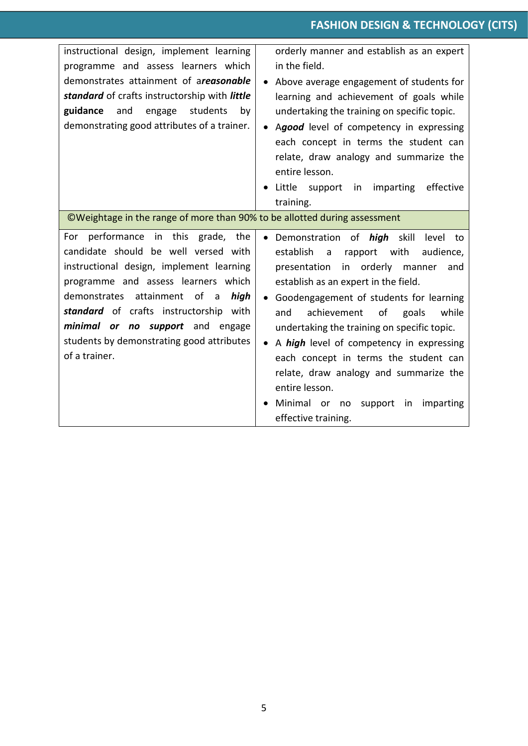| instructional design, implement learning<br>programme and assess learners which<br>demonstrates attainment of areasonable<br>standard of crafts instructorship with little<br>students<br>guidance and<br>engage<br>by<br>demonstrating good attributes of a trainer.<br>©Weightage in the range of more than 90% to be allotted during assessment   | orderly manner and establish as an expert<br>in the field.<br>Above average engagement of students for<br>learning and achievement of goals while<br>undertaking the training on specific topic.<br>Agood level of competency in expressing<br>each concept in terms the student can<br>relate, draw analogy and summarize the<br>entire lesson.<br>Little support in imparting<br>effective<br>training.                                                                                                                                                   |
|------------------------------------------------------------------------------------------------------------------------------------------------------------------------------------------------------------------------------------------------------------------------------------------------------------------------------------------------------|-------------------------------------------------------------------------------------------------------------------------------------------------------------------------------------------------------------------------------------------------------------------------------------------------------------------------------------------------------------------------------------------------------------------------------------------------------------------------------------------------------------------------------------------------------------|
| performance in this grade, the<br>For<br>candidate should be well versed with<br>instructional design, implement learning<br>programme and assess learners which<br>demonstrates attainment of a<br>high<br>standard of crafts instructorship with<br>minimal or no support and engage<br>students by demonstrating good attributes<br>of a trainer. | · Demonstration of <i>high</i><br>skill<br>level<br>to<br>establish<br>with<br>rapport<br>audience,<br>a<br>in orderly<br>presentation<br>manner<br>and<br>establish as an expert in the field.<br>Goodengagement of students for learning<br>and<br>achievement of<br>goals<br>while<br>undertaking the training on specific topic.<br>A high level of competency in expressing<br>each concept in terms the student can<br>relate, draw analogy and summarize the<br>entire lesson.<br>Minimal or no<br>imparting<br>support<br>in<br>effective training. |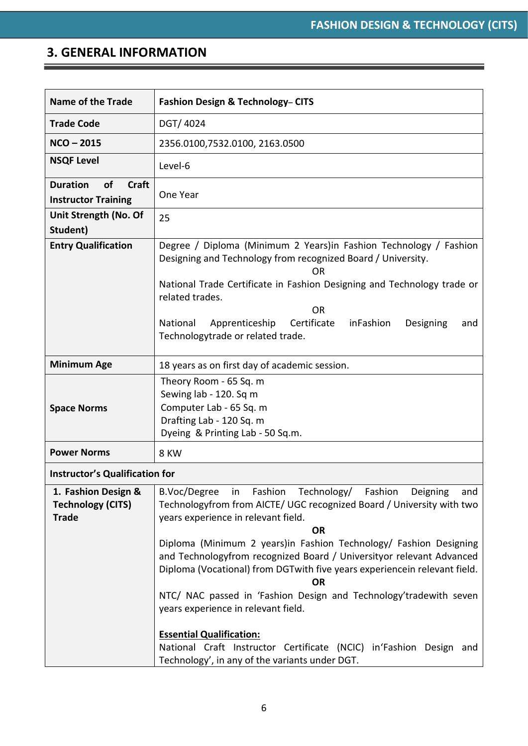### **3. GENERAL INFORMATION**

| <b>Name of the Trade</b>                                        | <b>Fashion Design &amp; Technology- CITS</b>                                                                                                                                                                                                                                                                                                                                                                                                                                                                                                                                                                                                                                                                      |
|-----------------------------------------------------------------|-------------------------------------------------------------------------------------------------------------------------------------------------------------------------------------------------------------------------------------------------------------------------------------------------------------------------------------------------------------------------------------------------------------------------------------------------------------------------------------------------------------------------------------------------------------------------------------------------------------------------------------------------------------------------------------------------------------------|
| <b>Trade Code</b>                                               | DGT/4024                                                                                                                                                                                                                                                                                                                                                                                                                                                                                                                                                                                                                                                                                                          |
| $NCO - 2015$                                                    | 2356.0100,7532.0100, 2163.0500                                                                                                                                                                                                                                                                                                                                                                                                                                                                                                                                                                                                                                                                                    |
| <b>NSQF Level</b>                                               | Level-6                                                                                                                                                                                                                                                                                                                                                                                                                                                                                                                                                                                                                                                                                                           |
| of<br><b>Duration</b><br>Craft<br><b>Instructor Training</b>    | One Year                                                                                                                                                                                                                                                                                                                                                                                                                                                                                                                                                                                                                                                                                                          |
| Unit Strength (No. Of<br>Student)                               | 25                                                                                                                                                                                                                                                                                                                                                                                                                                                                                                                                                                                                                                                                                                                |
| <b>Entry Qualification</b>                                      | Degree / Diploma (Minimum 2 Years) in Fashion Technology / Fashion<br>Designing and Technology from recognized Board / University.<br><b>OR</b><br>National Trade Certificate in Fashion Designing and Technology trade or                                                                                                                                                                                                                                                                                                                                                                                                                                                                                        |
|                                                                 | related trades.<br><b>OR</b><br>Certificate<br>National<br>Apprenticeship<br>inFashion<br>Designing<br>and<br>Technologytrade or related trade.                                                                                                                                                                                                                                                                                                                                                                                                                                                                                                                                                                   |
| <b>Minimum Age</b>                                              | 18 years as on first day of academic session.                                                                                                                                                                                                                                                                                                                                                                                                                                                                                                                                                                                                                                                                     |
| <b>Space Norms</b>                                              | Theory Room - 65 Sq. m<br>Sewing lab - 120. Sq m<br>Computer Lab - 65 Sq. m<br>Drafting Lab - 120 Sq. m<br>Dyeing & Printing Lab - 50 Sq.m.                                                                                                                                                                                                                                                                                                                                                                                                                                                                                                                                                                       |
| <b>Power Norms</b>                                              | 8 KW                                                                                                                                                                                                                                                                                                                                                                                                                                                                                                                                                                                                                                                                                                              |
| <b>Instructor's Qualification for</b>                           |                                                                                                                                                                                                                                                                                                                                                                                                                                                                                                                                                                                                                                                                                                                   |
| 1. Fashion Design &<br><b>Technology (CITS)</b><br><b>Trade</b> | Fashion Technology/ Fashion Deigning<br>B.Voc/Degree<br>in in<br>and<br>Technologyfrom from AICTE/ UGC recognized Board / University with two<br>years experience in relevant field.<br><b>OR</b><br>Diploma (Minimum 2 years)in Fashion Technology/ Fashion Designing<br>and Technologyfrom recognized Board / Universityor relevant Advanced<br>Diploma (Vocational) from DGT with five years experience in relevant field.<br><b>OR</b><br>NTC/ NAC passed in 'Fashion Design and Technology'tradewith seven<br>years experience in relevant field.<br><b>Essential Qualification:</b><br>National Craft Instructor Certificate (NCIC) in'Fashion Design and<br>Technology', in any of the variants under DGT. |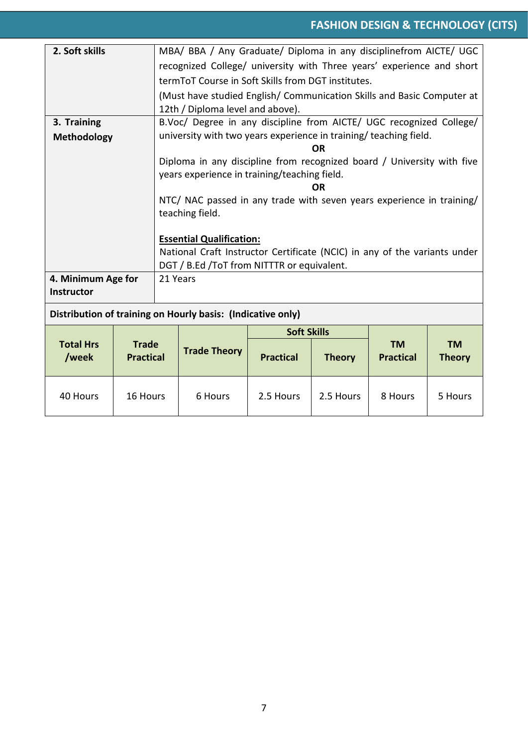| 2. Soft skills                                                |  |                                                                           | MBA/ BBA / Any Graduate/ Diploma in any disciplinefrom AICTE/ UGC      |                    |               |                               |                            |  |  |  |
|---------------------------------------------------------------|--|---------------------------------------------------------------------------|------------------------------------------------------------------------|--------------------|---------------|-------------------------------|----------------------------|--|--|--|
|                                                               |  | recognized College/ university with Three years' experience and short     |                                                                        |                    |               |                               |                            |  |  |  |
|                                                               |  | term To T Course in Soft Skills from DGT institutes.                      |                                                                        |                    |               |                               |                            |  |  |  |
|                                                               |  |                                                                           | (Must have studied English/ Communication Skills and Basic Computer at |                    |               |                               |                            |  |  |  |
|                                                               |  |                                                                           | 12th / Diploma level and above).                                       |                    |               |                               |                            |  |  |  |
| 3. Training                                                   |  |                                                                           | B.Voc/ Degree in any discipline from AICTE/ UGC recognized College/    |                    |               |                               |                            |  |  |  |
| Methodology                                                   |  |                                                                           | university with two years experience in training/ teaching field.      |                    |               |                               |                            |  |  |  |
|                                                               |  |                                                                           |                                                                        |                    | OR            |                               |                            |  |  |  |
|                                                               |  |                                                                           | Diploma in any discipline from recognized board / University with five |                    |               |                               |                            |  |  |  |
|                                                               |  |                                                                           | years experience in training/teaching field.                           |                    | <b>OR</b>     |                               |                            |  |  |  |
|                                                               |  |                                                                           | NTC/ NAC passed in any trade with seven years experience in training/  |                    |               |                               |                            |  |  |  |
|                                                               |  |                                                                           | teaching field.                                                        |                    |               |                               |                            |  |  |  |
|                                                               |  |                                                                           |                                                                        |                    |               |                               |                            |  |  |  |
|                                                               |  | <b>Essential Qualification:</b>                                           |                                                                        |                    |               |                               |                            |  |  |  |
|                                                               |  | National Craft Instructor Certificate (NCIC) in any of the variants under |                                                                        |                    |               |                               |                            |  |  |  |
|                                                               |  | DGT / B.Ed / To T from NITTTR or equivalent.                              |                                                                        |                    |               |                               |                            |  |  |  |
| 4. Minimum Age for                                            |  | 21 Years                                                                  |                                                                        |                    |               |                               |                            |  |  |  |
| Instructor                                                    |  |                                                                           |                                                                        |                    |               |                               |                            |  |  |  |
|                                                               |  |                                                                           | Distribution of training on Hourly basis: (Indicative only)            |                    |               |                               |                            |  |  |  |
|                                                               |  |                                                                           |                                                                        | <b>Soft Skills</b> |               |                               |                            |  |  |  |
| <b>Total Hrs</b><br><b>Trade</b><br>/week<br><b>Practical</b> |  |                                                                           | <b>Trade Theory</b>                                                    | <b>Practical</b>   | <b>Theory</b> | <b>TM</b><br><b>Practical</b> | <b>TM</b><br><b>Theory</b> |  |  |  |
| 40 Hours<br>16 Hours                                          |  |                                                                           | 6 Hours                                                                | 2.5 Hours          | 2.5 Hours     | 8 Hours                       | 5 Hours                    |  |  |  |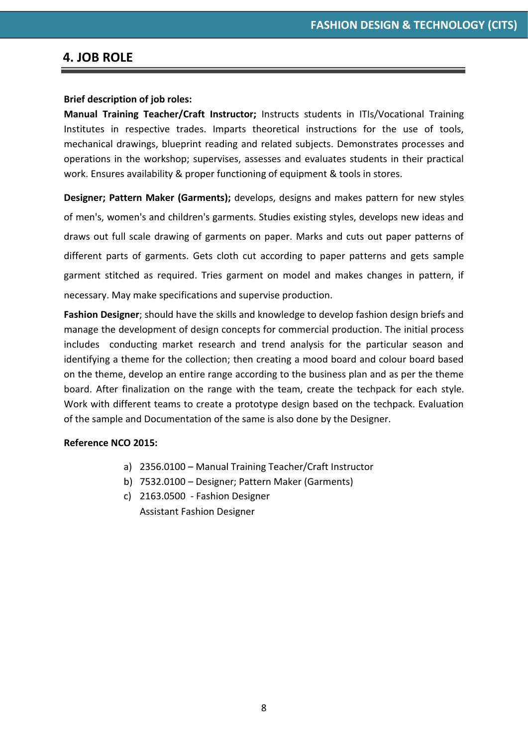#### **4. JOB ROLE**

#### **Brief description of job roles:**

**Manual Training Teacher/Craft Instructor;** Instructs students in ITIs/Vocational Training Institutes in respective trades. Imparts theoretical instructions for the use of tools, mechanical drawings, blueprint reading and related subjects. Demonstrates processes and operations in the workshop; supervises, assesses and evaluates students in their practical work. Ensures availability & proper functioning of equipment & tools in stores.

**Designer; Pattern Maker (Garments);** develops, designs and makes pattern for new styles of men's, women's and children's garments. Studies existing styles, develops new ideas and draws out full scale drawing of garments on paper. Marks and cuts out paper patterns of different parts of garments. Gets cloth cut according to paper patterns and gets sample garment stitched as required. Tries garment on model and makes changes in pattern, if necessary. May make specifications and supervise production.

**Fashion Designer**; should have the skills and knowledge to develop fashion design briefs and manage the development of design concepts for commercial production. The initial process includes conducting market research and trend analysis for the particular season and identifying a theme for the collection; then creating a mood board and colour board based on the theme, develop an entire range according to the business plan and as per the theme board. After finalization on the range with the team, create the techpack for each style. Work with different teams to create a prototype design based on the techpack. Evaluation of the sample and Documentation of the same is also done by the Designer.

#### **Reference NCO 2015:**

- a) 2356.0100 Manual Training Teacher/Craft Instructor
- b) 7532.0100 Designer; Pattern Maker (Garments)
- c) 2163.0500 Fashion Designer Assistant Fashion Designer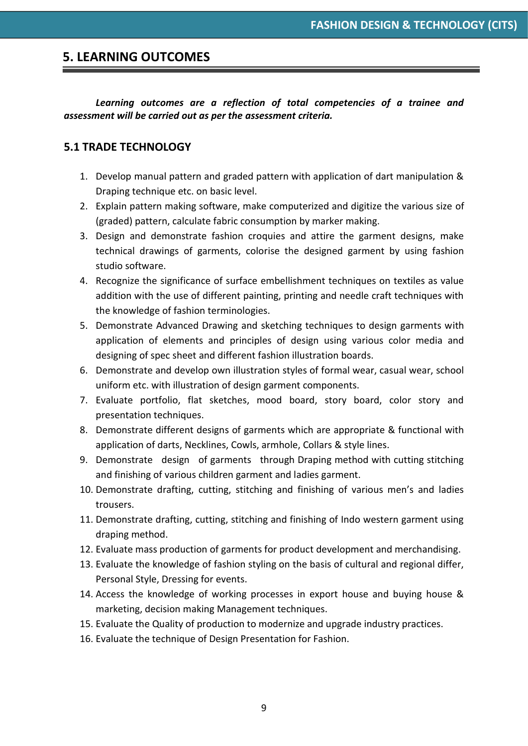#### **5. LEARNING OUTCOMES**

#### *Learning outcomes are a reflection of total competencies of a trainee and assessment will be carried out as per the assessment criteria.*

#### **5.1 TRADE TECHNOLOGY**

- 1. Develop manual pattern and graded pattern with application of dart manipulation & Draping technique etc. on basic level.
- 2. Explain pattern making software, make computerized and digitize the various size of (graded) pattern, calculate fabric consumption by marker making.
- 3. Design and demonstrate fashion croquies and attire the garment designs, make technical drawings of garments, colorise the designed garment by using fashion studio software.
- 4. Recognize the significance of surface embellishment techniques on textiles as value addition with the use of different painting, printing and needle craft techniques with the knowledge of fashion terminologies.
- 5. Demonstrate Advanced Drawing and sketching techniques to design garments with application of elements and principles of design using various color media and designing of spec sheet and different fashion illustration boards.
- 6. Demonstrate and develop own illustration styles of formal wear, casual wear, school uniform etc. with illustration of design garment components.
- 7. Evaluate portfolio, flat sketches, mood board, story board, color story and presentation techniques.
- 8. Demonstrate different designs of garments which are appropriate & functional with application of darts, Necklines, Cowls, armhole, Collars & style lines.
- 9. Demonstrate design of garments through Draping method with cutting stitching and finishing of various children garment and ladies garment.
- 10. Demonstrate drafting, cutting, stitching and finishing of various men's and ladies trousers.
- 11. Demonstrate drafting, cutting, stitching and finishing of Indo western garment using draping method.
- 12. Evaluate mass production of garments for product development and merchandising.
- 13. Evaluate the knowledge of fashion styling on the basis of cultural and regional differ, Personal Style, Dressing for events.
- 14. Access the knowledge of working processes in export house and buying house & marketing, decision making Management techniques.
- 15. Evaluate the Quality of production to modernize and upgrade industry practices.
- 16. Evaluate the technique of Design Presentation for Fashion.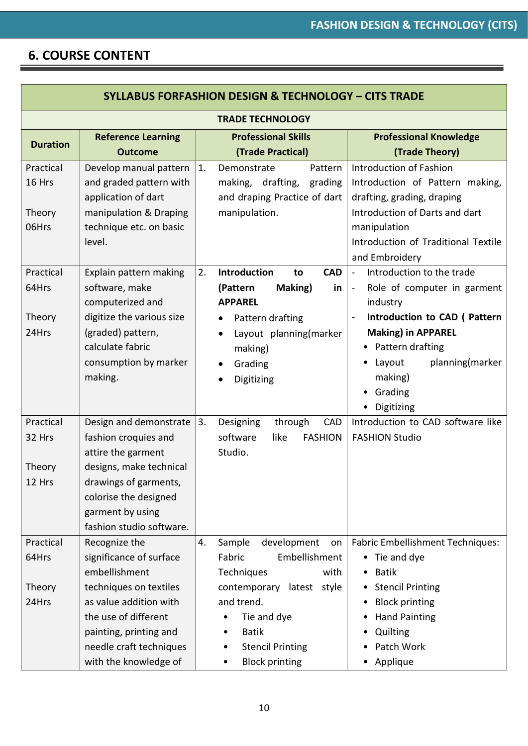#### **6. COURSE CONTENT**

| <b>SYLLABUS FORFASHION DESIGN &amp; TECHNOLOGY - CITS TRADE</b> |                                                                                                                                                                                                                     |    |                                                                                                                                                                                                                            |                                                                                                                                                                                                                                                                                       |  |  |  |
|-----------------------------------------------------------------|---------------------------------------------------------------------------------------------------------------------------------------------------------------------------------------------------------------------|----|----------------------------------------------------------------------------------------------------------------------------------------------------------------------------------------------------------------------------|---------------------------------------------------------------------------------------------------------------------------------------------------------------------------------------------------------------------------------------------------------------------------------------|--|--|--|
|                                                                 | <b>TRADE TECHNOLOGY</b>                                                                                                                                                                                             |    |                                                                                                                                                                                                                            |                                                                                                                                                                                                                                                                                       |  |  |  |
| <b>Duration</b>                                                 | <b>Reference Learning</b><br><b>Outcome</b>                                                                                                                                                                         |    | <b>Professional Skills</b><br>(Trade Practical)                                                                                                                                                                            | <b>Professional Knowledge</b><br>(Trade Theory)                                                                                                                                                                                                                                       |  |  |  |
| Practical<br>16 Hrs<br>Theory<br>06Hrs                          | Develop manual pattern<br>and graded pattern with<br>application of dart<br>manipulation & Draping<br>technique etc. on basic<br>level.                                                                             | 1. | Demonstrate<br>Pattern<br>drafting,<br>making,<br>grading<br>and draping Practice of dart<br>manipulation.                                                                                                                 | Introduction of Fashion<br>Introduction of Pattern making,<br>drafting, grading, draping<br>Introduction of Darts and dart<br>manipulation<br>Introduction of Traditional Textile<br>and Embroidery                                                                                   |  |  |  |
| Practical<br>64Hrs<br>Theory<br>24Hrs                           | Explain pattern making<br>software, make<br>computerized and<br>digitize the various size<br>(graded) pattern,<br>calculate fabric<br>consumption by marker<br>making.                                              | 2. | Introduction<br><b>CAD</b><br>to<br>Making)<br>(Pattern<br>in<br><b>APPAREL</b><br>Pattern drafting<br>٠<br>Layout planning(marker<br>making)<br>Grading<br>Digitizing                                                     | Introduction to the trade<br>$\blacksquare$<br>Role of computer in garment<br>$\overline{\phantom{0}}$<br>industry<br>Introduction to CAD (Pattern<br><b>Making) in APPAREL</b><br>• Pattern drafting<br>planning(marker<br>Layout<br>making)<br>• Grading<br>Digitizing<br>$\bullet$ |  |  |  |
| Practical<br>32 Hrs<br>Theory<br>12 Hrs                         | Design and demonstrate<br>fashion croquies and<br>attire the garment<br>designs, make technical<br>drawings of garments,<br>colorise the designed<br>garment by using<br>fashion studio software.                   | 3. | Designing<br>through<br>CAD<br>software<br><b>FASHION</b><br>like<br>Studio.                                                                                                                                               | Introduction to CAD software like<br><b>FASHION Studio</b>                                                                                                                                                                                                                            |  |  |  |
| Practical<br>64Hrs<br>Theory<br>24Hrs                           | Recognize the<br>significance of surface<br>embellishment<br>techniques on textiles<br>as value addition with<br>the use of different<br>painting, printing and<br>needle craft techniques<br>with the knowledge of | 4. | Sample<br>development<br>on<br>Fabric<br>Embellishment<br>Techniques<br>with<br>contemporary<br>latest style<br>and trend.<br>Tie and dye<br><b>Batik</b><br><b>Stencil Printing</b><br>$\bullet$<br><b>Block printing</b> | <b>Fabric Embellishment Techniques:</b><br>• Tie and dye<br><b>Batik</b><br>$\bullet$<br><b>Stencil Printing</b><br><b>Block printing</b><br><b>Hand Painting</b><br>Quilting<br>Patch Work<br>$\bullet$<br>Applique<br>$\bullet$                                                     |  |  |  |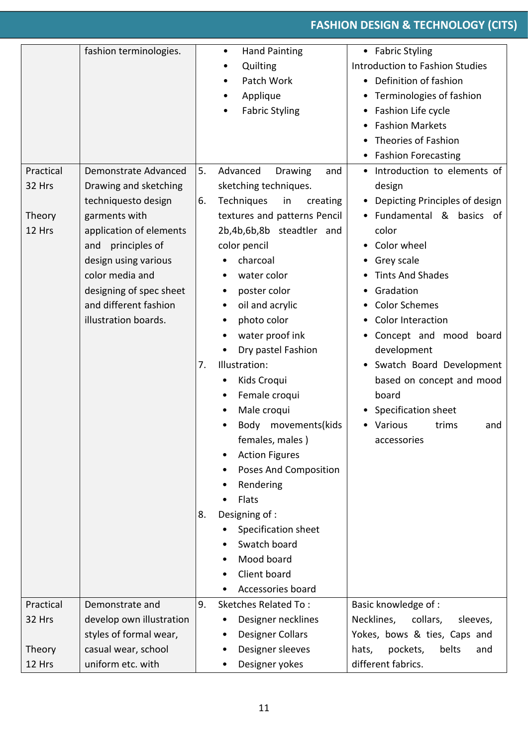|           | fashion terminologies.                           |    | <b>Hand Painting</b><br>$\bullet$ | • Fabric Styling                   |
|-----------|--------------------------------------------------|----|-----------------------------------|------------------------------------|
|           |                                                  |    | Quilting<br>$\bullet$             | Introduction to Fashion Studies    |
|           |                                                  |    | Patch Work<br>$\bullet$           | • Definition of fashion            |
|           |                                                  |    | Applique<br>٠                     | Terminologies of fashion           |
|           |                                                  |    | <b>Fabric Styling</b>             | Fashion Life cycle<br>٠            |
|           |                                                  |    |                                   | <b>Fashion Markets</b>             |
|           |                                                  |    |                                   | Theories of Fashion                |
|           |                                                  |    |                                   | <b>Fashion Forecasting</b>         |
| Practical | Demonstrate Advanced                             | 5. | Advanced<br>Drawing<br>and        | • Introduction to elements of      |
| 32 Hrs    | Drawing and sketching                            |    | sketching techniques.             | design                             |
|           | techniquesto design                              | 6. | Techniques<br>in<br>creating      | Depicting Principles of design     |
| Theory    | garments with                                    |    | textures and patterns Pencil      | · Fundamental & basics of          |
| 12 Hrs    | application of elements                          |    | 2b,4b,6b,8b steadtler and         | color                              |
|           | principles of<br>and                             |    | color pencil                      | Color wheel<br>٠                   |
|           | design using various                             |    | charcoal                          | Grey scale                         |
|           | color media and                                  |    | water color                       | <b>Tints And Shades</b>            |
|           |                                                  |    | poster color<br>٠                 | Gradation                          |
|           | designing of spec sheet<br>and different fashion |    | oil and acrylic                   | <b>Color Schemes</b>               |
|           |                                                  |    | $\bullet$                         |                                    |
|           | illustration boards.                             |    | photo color                       | <b>Color Interaction</b>           |
|           |                                                  |    | water proof ink                   | Concept and mood board             |
|           |                                                  |    | Dry pastel Fashion                | development                        |
|           |                                                  | 7. | Illustration:                     | Swatch Board Development           |
|           |                                                  |    | Kids Croqui                       | based on concept and mood          |
|           |                                                  |    | Female croqui                     | board                              |
|           |                                                  |    | Male croqui                       | <b>Specification sheet</b>         |
|           |                                                  |    | Body movements(kids               | Various<br>trims<br>and            |
|           |                                                  |    | females, males)                   | accessories                        |
|           |                                                  |    | <b>Action Figures</b>             |                                    |
|           |                                                  |    | Poses And Composition             |                                    |
|           |                                                  |    | Rendering                         |                                    |
|           |                                                  |    | Flats                             |                                    |
|           |                                                  | 8. | Designing of :                    |                                    |
|           |                                                  |    | Specification sheet               |                                    |
|           |                                                  |    | Swatch board                      |                                    |
|           |                                                  |    | Mood board                        |                                    |
|           |                                                  |    | Client board                      |                                    |
|           |                                                  |    | Accessories board                 |                                    |
| Practical | Demonstrate and                                  | 9. | <b>Sketches Related To:</b>       | Basic knowledge of :               |
| 32 Hrs    | develop own illustration                         |    | Designer necklines                | Necklines,<br>collars,<br>sleeves, |
|           | styles of formal wear,                           |    | <b>Designer Collars</b><br>٠      | Yokes, bows & ties, Caps and       |
| Theory    | casual wear, school                              |    | Designer sleeves                  | pockets,<br>belts<br>hats,<br>and  |
| 12 Hrs    | uniform etc. with                                |    | Designer yokes                    | different fabrics.                 |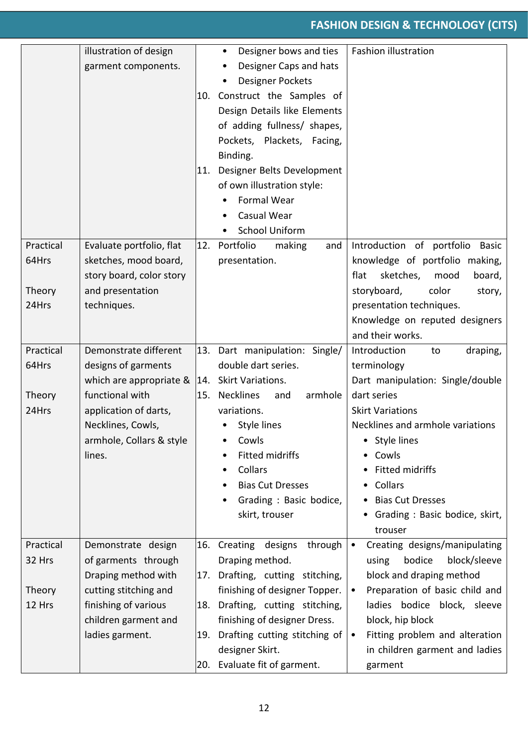|                          | illustration of design<br>garment components.                                                       | 10.<br>11. | Designer bows and ties<br>$\bullet$<br>Designer Caps and hats<br>$\bullet$<br><b>Designer Pockets</b><br>Construct the Samples of<br>Design Details like Elements<br>of adding fullness/ shapes,<br>Pockets, Plackets, Facing,<br>Binding.<br>Designer Belts Development<br>of own illustration style:<br>Formal Wear<br>Casual Wear<br>$\bullet$<br><b>School Uniform</b><br>$\bullet$ | Fashion illustration                                                                                                                                                                                         |
|--------------------------|-----------------------------------------------------------------------------------------------------|------------|-----------------------------------------------------------------------------------------------------------------------------------------------------------------------------------------------------------------------------------------------------------------------------------------------------------------------------------------------------------------------------------------|--------------------------------------------------------------------------------------------------------------------------------------------------------------------------------------------------------------|
| Practical                | Evaluate portfolio, flat                                                                            | 12.        | Portfolio<br>making<br>and                                                                                                                                                                                                                                                                                                                                                              | Introduction of portfolio<br>Basic                                                                                                                                                                           |
| 64Hrs<br>Theory<br>24Hrs | sketches, mood board,<br>story board, color story<br>and presentation<br>techniques.                |            | presentation.                                                                                                                                                                                                                                                                                                                                                                           | knowledge of portfolio making,<br>flat<br>sketches,<br>mood<br>board,<br>storyboard,<br>color<br>story,<br>presentation techniques.<br>Knowledge on reputed designers<br>and their works.                    |
| Practical                | Demonstrate different                                                                               |            | 13. Dart manipulation: Single/                                                                                                                                                                                                                                                                                                                                                          | draping,<br>Introduction<br>to                                                                                                                                                                               |
| 64Hrs                    | designs of garments<br>which are appropriate $\&$  14. Skirt Variations.                            |            | double dart series.                                                                                                                                                                                                                                                                                                                                                                     | terminology<br>Dart manipulation: Single/double                                                                                                                                                              |
| Theory<br>24Hrs          | functional with<br>application of darts,<br>Necklines, Cowls,<br>armhole, Collars & style<br>lines. | 15.        | <b>Necklines</b><br>armhole<br>and<br>variations.<br>Style lines<br>Cowls<br>Fitted midriffs<br>Collars<br>٠<br><b>Bias Cut Dresses</b><br>٠<br>Grading: Basic bodice,<br>skirt, trouser                                                                                                                                                                                                | dart series<br><b>Skirt Variations</b><br>Necklines and armhole variations<br>Style lines<br>• Cowls<br>Fitted midriffs<br>Collars<br><b>Bias Cut Dresses</b><br>• Grading : Basic bodice, skirt,<br>trouser |
| Practical<br>32 Hrs      | Demonstrate design<br>of garments through<br>Draping method with                                    | 17.        | 16. Creating designs<br>through<br>Draping method.<br>Drafting, cutting stitching,                                                                                                                                                                                                                                                                                                      | Creating designs/manipulating<br>$\bullet$<br>bodice<br>block/sleeve<br>using<br>block and draping method                                                                                                    |
| Theory                   | cutting stitching and                                                                               |            | finishing of designer Topper.                                                                                                                                                                                                                                                                                                                                                           | Preparation of basic child and<br>$\bullet$                                                                                                                                                                  |
| 12 Hrs                   | finishing of various<br>children garment and                                                        | 18.        | Drafting, cutting stitching,<br>finishing of designer Dress.                                                                                                                                                                                                                                                                                                                            | ladies bodice block, sleeve<br>block, hip block                                                                                                                                                              |
|                          | ladies garment.                                                                                     | 19.<br>20. | Drafting cutting stitching of<br>designer Skirt.<br>Evaluate fit of garment.                                                                                                                                                                                                                                                                                                            | Fitting problem and alteration<br>$\bullet$<br>in children garment and ladies<br>garment                                                                                                                     |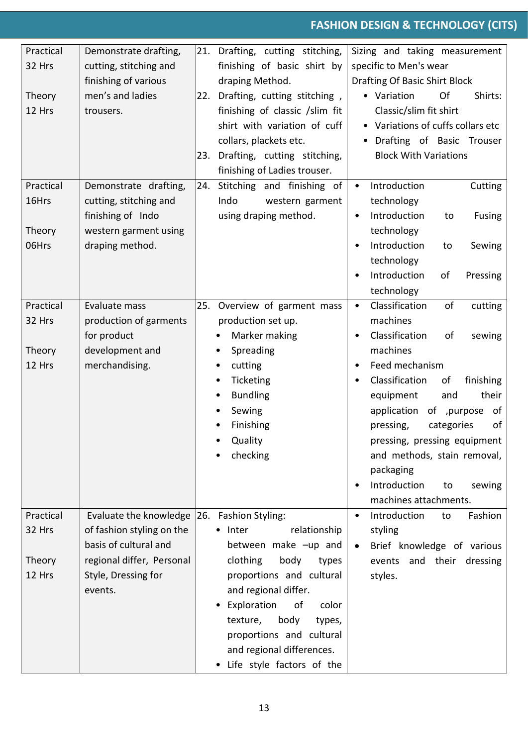| Practical | Demonstrate drafting,     |     | 21. Drafting, cutting stitching, | Sizing and taking measurement                    |
|-----------|---------------------------|-----|----------------------------------|--------------------------------------------------|
| 32 Hrs    | cutting, stitching and    |     | finishing of basic shirt by      | specific to Men's wear                           |
|           | finishing of various      |     | draping Method.                  | Drafting Of Basic Shirt Block                    |
| Theory    | men's and ladies          | 22. | Drafting, cutting stitching,     | Of<br>• Variation<br>Shirts:                     |
| 12 Hrs    | trousers.                 |     | finishing of classic /slim fit   | Classic/slim fit shirt                           |
|           |                           |     | shirt with variation of cuff     | • Variations of cuffs collars etc                |
|           |                           |     | collars, plackets etc.           | Drafting of Basic Trouser                        |
|           |                           | 23. | Drafting, cutting stitching,     | <b>Block With Variations</b>                     |
|           |                           |     | finishing of Ladies trouser.     |                                                  |
| Practical | Demonstrate drafting,     | 24. | Stitching and finishing of       | Introduction<br>Cutting                          |
| 16Hrs     | cutting, stitching and    |     | Indo<br>western garment          | technology                                       |
|           | finishing of Indo         |     | using draping method.            | Introduction<br>to<br><b>Fusing</b><br>$\bullet$ |
| Theory    | western garment using     |     |                                  | technology                                       |
| 06Hrs     | draping method.           |     |                                  | Introduction<br>Sewing<br>to                     |
|           |                           |     |                                  | technology                                       |
|           |                           |     |                                  | Introduction<br>of<br>Pressing                   |
|           |                           |     |                                  | technology                                       |
| Practical | Evaluate mass             |     | 25. Overview of garment mass     | Classification<br>of<br>cutting<br>$\bullet$     |
| 32 Hrs    | production of garments    |     | production set up.               | machines                                         |
|           | for product               |     | Marker making                    | Classification<br>οf<br>sewing                   |
| Theory    | development and           |     | Spreading<br>٠                   | machines                                         |
| 12 Hrs    | merchandising.            |     | cutting<br>٠                     | Feed mechanism                                   |
|           |                           |     | Ticketing<br>٠                   | Classification<br>of<br>finishing                |
|           |                           |     | <b>Bundling</b><br>٠             | equipment<br>their<br>and                        |
|           |                           |     | Sewing                           | application of , purpose<br>of                   |
|           |                           |     | Finishing                        | categories<br>of<br>pressing,                    |
|           |                           |     | Quality                          | pressing, pressing equipment                     |
|           |                           |     | checking                         | and methods, stain removal,                      |
|           |                           |     |                                  | packaging                                        |
|           |                           |     |                                  | Introduction<br>sewing<br>to                     |
|           |                           |     |                                  | machines attachments.                            |
| Practical | Evaluate the knowledge    |     | 26. Fashion Styling:             | Fashion<br>Introduction<br>to                    |
| 32 Hrs    | of fashion styling on the |     | relationship<br>• Inter          | styling                                          |
|           | basis of cultural and     |     | between make -up and             | Brief knowledge of various                       |
| Theory    | regional differ, Personal |     | clothing<br>body<br>types        | events and their dressing                        |
| 12 Hrs    | Style, Dressing for       |     | proportions and cultural         | styles.                                          |
|           | events.                   |     | and regional differ.             |                                                  |
|           |                           |     | Exploration<br>of<br>color       |                                                  |
|           |                           |     | texture,<br>body<br>types,       |                                                  |
|           |                           |     | proportions and cultural         |                                                  |
|           |                           |     | and regional differences.        |                                                  |
|           |                           |     | • Life style factors of the      |                                                  |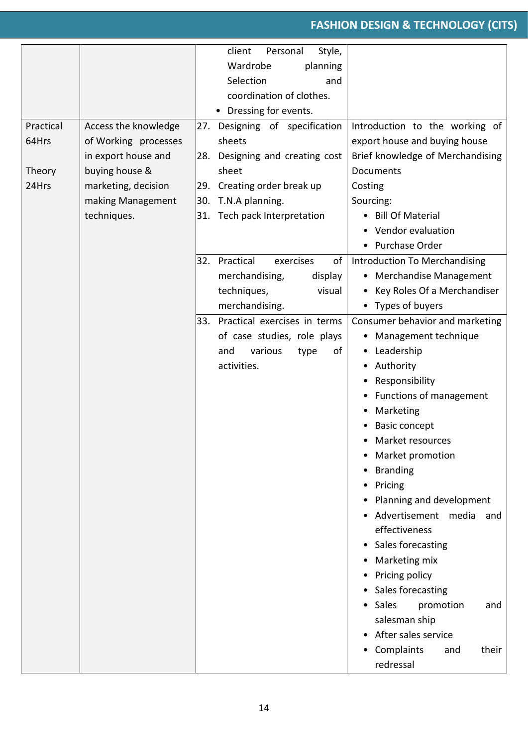|           |                      | client<br>Style,<br>Personal        |                                  |
|-----------|----------------------|-------------------------------------|----------------------------------|
|           |                      | Wardrobe<br>planning                |                                  |
|           |                      | Selection<br>and                    |                                  |
|           |                      | coordination of clothes.            |                                  |
|           |                      | • Dressing for events.              |                                  |
| Practical | Access the knowledge | 27. Designing of specification      | Introduction to the working of   |
| 64Hrs     | of Working processes | sheets                              | export house and buying house    |
|           | in export house and  | 28. Designing and creating cost     | Brief knowledge of Merchandising |
| Theory    | buying house &       | sheet                               | Documents                        |
| 24Hrs     | marketing, decision  | 29. Creating order break up         | Costing                          |
|           | making Management    | 30. T.N.A planning.                 | Sourcing:                        |
|           | techniques.          | 31. Tech pack Interpretation        | <b>Bill Of Material</b>          |
|           |                      |                                     | • Vendor evaluation              |
|           |                      |                                     | • Purchase Order                 |
|           |                      | Practical<br>of<br>32.<br>exercises | Introduction To Merchandising    |
|           |                      | merchandising,<br>display           | • Merchandise Management         |
|           |                      | techniques,<br>visual               | • Key Roles Of a Merchandiser    |
|           |                      | merchandising.                      | • Types of buyers                |
|           |                      | 33.<br>Practical exercises in terms | Consumer behavior and marketing  |
|           |                      | of case studies, role plays         | • Management technique           |
|           |                      | various<br>and<br>οf<br>type        | Leadership<br>٠                  |
|           |                      | activities.                         | Authority<br>٠                   |
|           |                      |                                     | Responsibility<br>٠              |
|           |                      |                                     | <b>Functions of management</b>   |
|           |                      |                                     | Marketing                        |
|           |                      |                                     | <b>Basic concept</b>             |
|           |                      |                                     | Market resources                 |
|           |                      |                                     | Market promotion                 |
|           |                      |                                     | <b>Branding</b>                  |
|           |                      |                                     | Pricing                          |
|           |                      |                                     | Planning and development         |
|           |                      |                                     | · Advertisement media<br>and     |
|           |                      |                                     | effectiveness                    |
|           |                      |                                     | Sales forecasting<br>$\bullet$   |
|           |                      |                                     | Marketing mix                    |
|           |                      |                                     | Pricing policy                   |
|           |                      |                                     | Sales forecasting                |
|           |                      |                                     | Sales<br>promotion<br>and        |
|           |                      |                                     | salesman ship                    |
|           |                      |                                     | After sales service              |
|           |                      |                                     | • Complaints<br>their<br>and     |
|           |                      |                                     | redressal                        |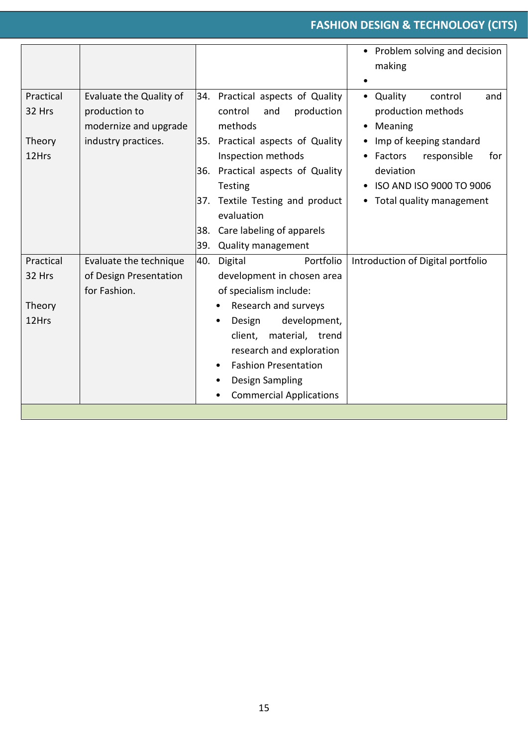|                                        |                                                                                          |                                                                                                                                                                                                                                                                                                        | • Problem solving and decision<br>making<br>$\bullet$                                                                                                                                           |
|----------------------------------------|------------------------------------------------------------------------------------------|--------------------------------------------------------------------------------------------------------------------------------------------------------------------------------------------------------------------------------------------------------------------------------------------------------|-------------------------------------------------------------------------------------------------------------------------------------------------------------------------------------------------|
| Practical<br>32 Hrs<br>Theory<br>12Hrs | Evaluate the Quality of<br>production to<br>modernize and upgrade<br>industry practices. | 34. Practical aspects of Quality<br>production<br>control<br>and<br>methods<br>35. Practical aspects of Quality<br>Inspection methods<br>36. Practical aspects of Quality<br>Testing<br>37. Textile Testing and product<br>evaluation<br>Care labeling of apparels<br>38.<br>39.<br>Quality management | • Quality<br>control<br>and<br>production methods<br>Meaning<br>Imp of keeping standard<br>Factors<br>responsible<br>for<br>deviation<br>ISO AND ISO 9000 TO 9006<br>• Total quality management |
| Practical<br>32 Hrs<br>Theory<br>12Hrs | Evaluate the technique<br>of Design Presentation<br>for Fashion.                         | Portfolio<br>40.<br>Digital<br>development in chosen area<br>of specialism include:<br>Research and surveys<br>development,<br>Design<br>client, material, trend<br>research and exploration<br><b>Fashion Presentation</b><br>Design Sampling<br>٠<br><b>Commercial Applications</b><br>٠             | Introduction of Digital portfolio                                                                                                                                                               |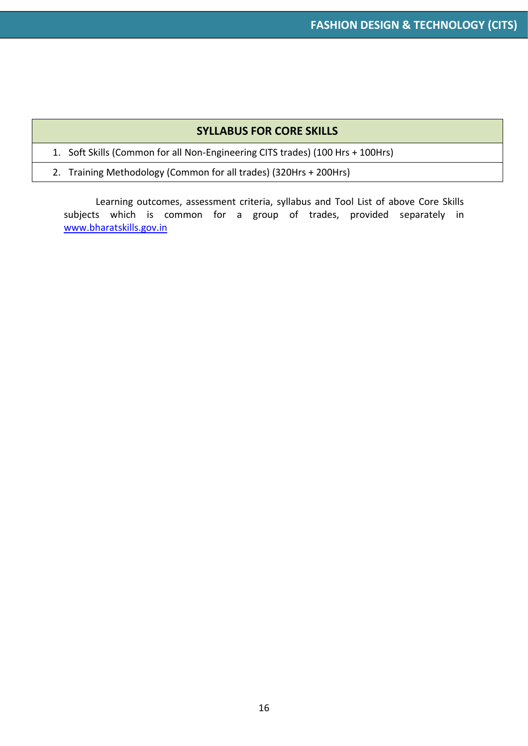#### **SYLLABUS FOR CORE SKILLS**

1. Soft Skills (Common for all Non-Engineering CITS trades) (100 Hrs + 100Hrs)

2. Training Methodology (Common for all trades) (320Hrs + 200Hrs)

Learning outcomes, assessment criteria, syllabus and Tool List of above Core Skills subjects which is common for a group of trades, provided separately in [www.bharatskills.gov.in](http://www.bharatskills.gov.in/)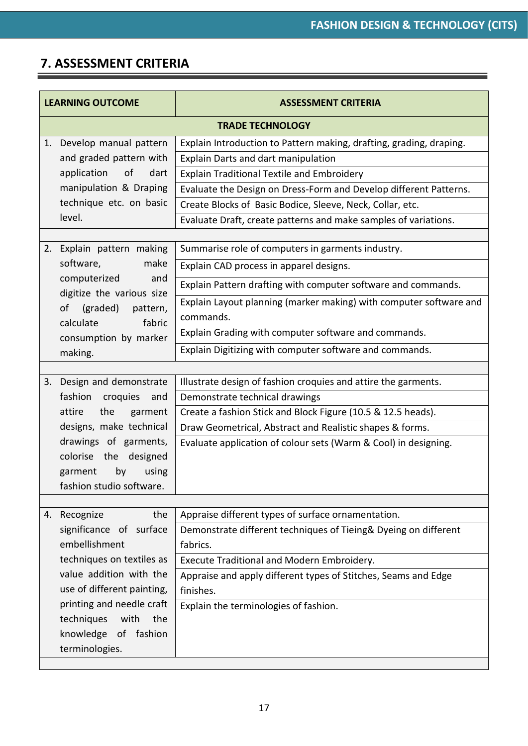<u> - Thomas San</u>

#### **7. ASSESSMENT CRITERIA**

| <b>LEARNING OUTCOME</b> |                                                  | <b>ASSESSMENT CRITERIA</b>                                                                                            |  |  |
|-------------------------|--------------------------------------------------|-----------------------------------------------------------------------------------------------------------------------|--|--|
|                         | <b>TRADE TECHNOLOGY</b>                          |                                                                                                                       |  |  |
| 1.                      | Develop manual pattern                           | Explain Introduction to Pattern making, drafting, grading, draping.                                                   |  |  |
|                         | and graded pattern with                          | Explain Darts and dart manipulation                                                                                   |  |  |
|                         | application of<br>dart                           | <b>Explain Traditional Textile and Embroidery</b>                                                                     |  |  |
|                         | manipulation & Draping                           | Evaluate the Design on Dress-Form and Develop different Patterns.                                                     |  |  |
|                         | technique etc. on basic                          | Create Blocks of Basic Bodice, Sleeve, Neck, Collar, etc.                                                             |  |  |
|                         | level.                                           | Evaluate Draft, create patterns and make samples of variations.                                                       |  |  |
|                         |                                                  |                                                                                                                       |  |  |
|                         | 2. Explain pattern making                        | Summarise role of computers in garments industry.                                                                     |  |  |
|                         | software,<br>make                                | Explain CAD process in apparel designs.                                                                               |  |  |
|                         | computerized<br>and<br>digitize the various size | Explain Pattern drafting with computer software and commands.                                                         |  |  |
| of                      | (graded)<br>pattern,                             | Explain Layout planning (marker making) with computer software and                                                    |  |  |
|                         | calculate<br>fabric                              | commands.                                                                                                             |  |  |
|                         | consumption by marker                            | Explain Grading with computer software and commands.                                                                  |  |  |
| making.                 |                                                  | Explain Digitizing with computer software and commands.                                                               |  |  |
|                         |                                                  |                                                                                                                       |  |  |
|                         | 3. Design and demonstrate                        | Illustrate design of fashion croquies and attire the garments.                                                        |  |  |
|                         | fashion croquies<br>and                          | Demonstrate technical drawings                                                                                        |  |  |
| attire                  | the<br>garment                                   | Create a fashion Stick and Block Figure (10.5 & 12.5 heads).                                                          |  |  |
|                         | designs, make technical                          | Draw Geometrical, Abstract and Realistic shapes & forms.                                                              |  |  |
|                         | drawings of garments,                            | Evaluate application of colour sets (Warm & Cool) in designing.                                                       |  |  |
|                         | colorise the designed                            |                                                                                                                       |  |  |
|                         | garment<br>by<br>using                           |                                                                                                                       |  |  |
|                         | fashion studio software.                         |                                                                                                                       |  |  |
|                         | the                                              |                                                                                                                       |  |  |
| 4.                      | Recognize<br>significance of surface             | Appraise different types of surface ornamentation.<br>Demonstrate different techniques of Tieing& Dyeing on different |  |  |
|                         | embellishment                                    | fabrics.                                                                                                              |  |  |
|                         | techniques on textiles as                        | Execute Traditional and Modern Embroidery.                                                                            |  |  |
|                         | value addition with the                          | Appraise and apply different types of Stitches, Seams and Edge                                                        |  |  |
|                         | use of different painting,                       | finishes.                                                                                                             |  |  |
|                         | printing and needle craft                        | Explain the terminologies of fashion.                                                                                 |  |  |
|                         | techniques<br>with<br>the                        |                                                                                                                       |  |  |
|                         | knowledge of fashion                             |                                                                                                                       |  |  |
|                         | terminologies.                                   |                                                                                                                       |  |  |
|                         |                                                  |                                                                                                                       |  |  |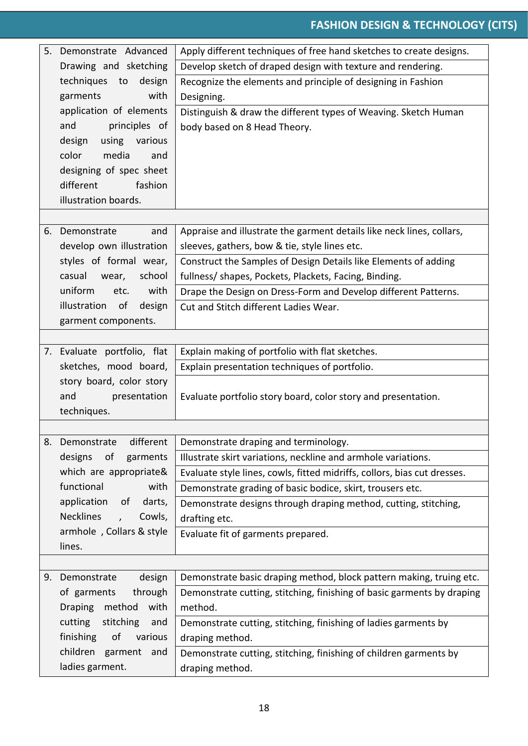|    | 5. Demonstrate Advanced                         | Apply different techniques of free hand sketches to create designs.      |
|----|-------------------------------------------------|--------------------------------------------------------------------------|
|    | Drawing and sketching                           | Develop sketch of draped design with texture and rendering.              |
|    | techniques to<br>design                         | Recognize the elements and principle of designing in Fashion             |
|    | garments<br>with                                | Designing.                                                               |
|    | application of elements                         | Distinguish & draw the different types of Weaving. Sketch Human          |
|    | and<br>principles of                            | body based on 8 Head Theory.                                             |
|    | using various<br>design                         |                                                                          |
|    | color<br>media<br>and                           |                                                                          |
|    | designing of spec sheet                         |                                                                          |
|    | fashion<br>different                            |                                                                          |
|    | illustration boards.                            |                                                                          |
|    |                                                 |                                                                          |
|    | 6. Demonstrate<br>and                           | Appraise and illustrate the garment details like neck lines, collars,    |
|    | develop own illustration                        | sleeves, gathers, bow & tie, style lines etc.                            |
|    | styles of formal wear,                          | Construct the Samples of Design Details like Elements of adding          |
|    | school<br>casual<br>wear,                       | fullness/ shapes, Pockets, Plackets, Facing, Binding.                    |
|    | uniform<br>etc.<br>with                         | Drape the Design on Dress-Form and Develop different Patterns.           |
|    | illustration<br>0f<br>design                    | Cut and Stitch different Ladies Wear.                                    |
|    | garment components.                             |                                                                          |
|    |                                                 |                                                                          |
|    | 7. Evaluate portfolio, flat                     | Explain making of portfolio with flat sketches.                          |
|    | sketches, mood board,                           | Explain presentation techniques of portfolio.                            |
|    | story board, color story                        |                                                                          |
|    | and<br>presentation                             | Evaluate portfolio story board, color story and presentation.            |
|    | techniques.                                     |                                                                          |
|    | different                                       |                                                                          |
| 8. | Demonstrate                                     | Demonstrate draping and terminology.                                     |
|    | designs<br>of<br>garments                       | Illustrate skirt variations, neckline and armhole variations.            |
|    | which are appropriate&<br>functional            | Evaluate style lines, cowls, fitted midriffs, collors, bias cut dresses. |
|    | with                                            | Demonstrate grading of basic bodice, skirt, trousers etc.                |
|    | application<br>darts,<br>of<br><b>Necklines</b> | Demonstrate designs through draping method, cutting, stitching,          |
|    | Cowls,                                          | drafting etc.                                                            |
|    | armhole, Collars & style<br>lines.              | Evaluate fit of garments prepared.                                       |
|    |                                                 |                                                                          |
|    | 9. Demonstrate<br>design                        | Demonstrate basic draping method, block pattern making, truing etc.      |
|    | of garments<br>through                          | Demonstrate cutting, stitching, finishing of basic garments by draping   |
|    | method<br>with<br><b>Draping</b>                | method.                                                                  |
|    | cutting<br>stitching<br>and                     | Demonstrate cutting, stitching, finishing of ladies garments by          |
|    | finishing<br>of<br>various                      | draping method.                                                          |
|    | children garment<br>and                         | Demonstrate cutting, stitching, finishing of children garments by        |
|    | ladies garment.                                 | draping method.                                                          |
|    |                                                 |                                                                          |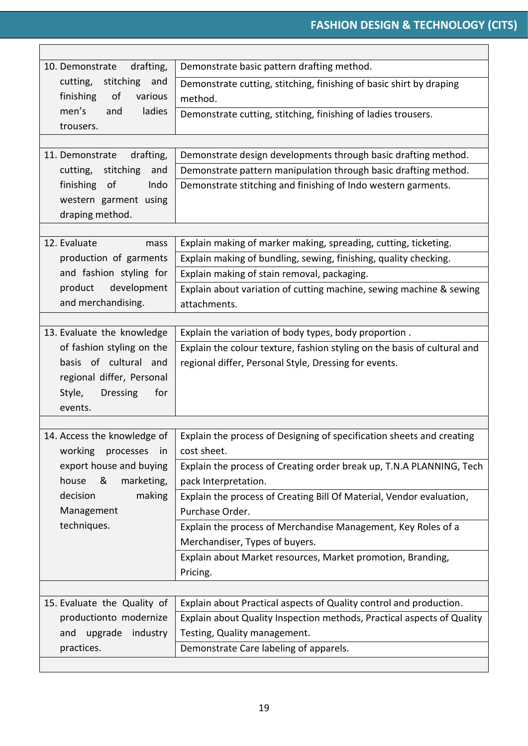| 10. Demonstrate<br>drafting,                            | Demonstrate basic pattern drafting method.                               |
|---------------------------------------------------------|--------------------------------------------------------------------------|
| stitching<br>cutting,<br>and                            | Demonstrate cutting, stitching, finishing of basic shirt by draping      |
| finishing<br>of<br>various                              | method.                                                                  |
| men's<br>ladies<br>and                                  | Demonstrate cutting, stitching, finishing of ladies trousers.            |
| trousers.                                               |                                                                          |
|                                                         |                                                                          |
| 11. Demonstrate<br>drafting,                            | Demonstrate design developments through basic drafting method.           |
| cutting,<br>stitching<br>and                            | Demonstrate pattern manipulation through basic drafting method.          |
| finishing of<br>Indo                                    | Demonstrate stitching and finishing of Indo western garments.            |
| western garment using                                   |                                                                          |
| draping method.                                         |                                                                          |
|                                                         |                                                                          |
| 12. Evaluate<br>mass                                    | Explain making of marker making, spreading, cutting, ticketing.          |
| production of garments                                  | Explain making of bundling, sewing, finishing, quality checking.         |
| and fashion styling for                                 | Explain making of stain removal, packaging.                              |
| development<br>product                                  | Explain about variation of cutting machine, sewing machine & sewing      |
| and merchandising.                                      | attachments.                                                             |
|                                                         | Explain the variation of body types, body proportion.                    |
| 13. Evaluate the knowledge<br>of fashion styling on the |                                                                          |
| basis of cultural and                                   | Explain the colour texture, fashion styling on the basis of cultural and |
| regional differ, Personal                               | regional differ, Personal Style, Dressing for events.                    |
| Style,<br><b>Dressing</b><br>for                        |                                                                          |
| events.                                                 |                                                                          |
|                                                         |                                                                          |
| 14. Access the knowledge of                             | Explain the process of Designing of specification sheets and creating    |
| working<br>processes in                                 | cost sheet.                                                              |
| export house and buying                                 | Explain the process of Creating order break up, T.N.A PLANNING, Tech     |
| house &<br>marketing,                                   | pack Interpretation.                                                     |
| making<br>decision                                      | Explain the process of Creating Bill Of Material, Vendor evaluation,     |
| Management                                              | Purchase Order.                                                          |
| techniques.                                             | Explain the process of Merchandise Management, Key Roles of a            |
|                                                         | Merchandiser, Types of buyers.                                           |
|                                                         | Explain about Market resources, Market promotion, Branding,              |
|                                                         | Pricing.                                                                 |
|                                                         |                                                                          |
| 15. Evaluate the Quality of                             | Explain about Practical aspects of Quality control and production.       |
| productionto modernize                                  | Explain about Quality Inspection methods, Practical aspects of Quality   |
| upgrade<br>industry<br>and                              | Testing, Quality management.                                             |
| practices.                                              | Demonstrate Care labeling of apparels.                                   |
|                                                         |                                                                          |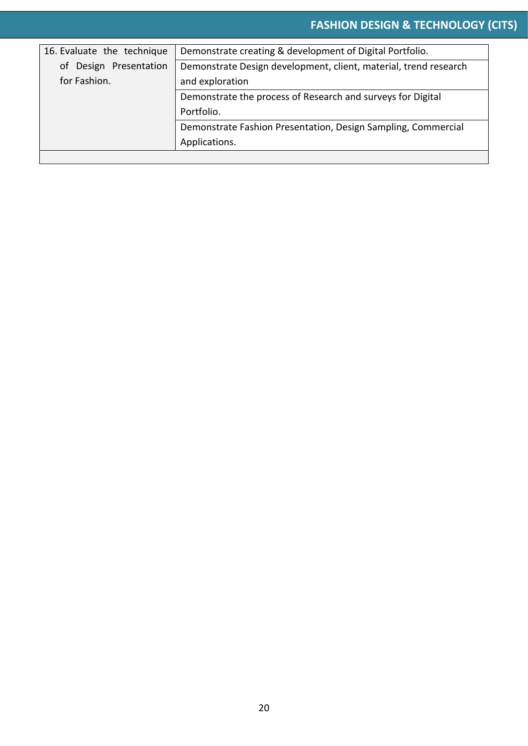| 16. Evaluate the technique      | Demonstrate creating & development of Digital Portfolio.         |  |
|---------------------------------|------------------------------------------------------------------|--|
| of Design Presentation          | Demonstrate Design development, client, material, trend research |  |
| for Fashion.<br>and exploration |                                                                  |  |
|                                 | Demonstrate the process of Research and surveys for Digital      |  |
|                                 | Portfolio.                                                       |  |
|                                 | Demonstrate Fashion Presentation, Design Sampling, Commercial    |  |
|                                 | Applications.                                                    |  |
|                                 |                                                                  |  |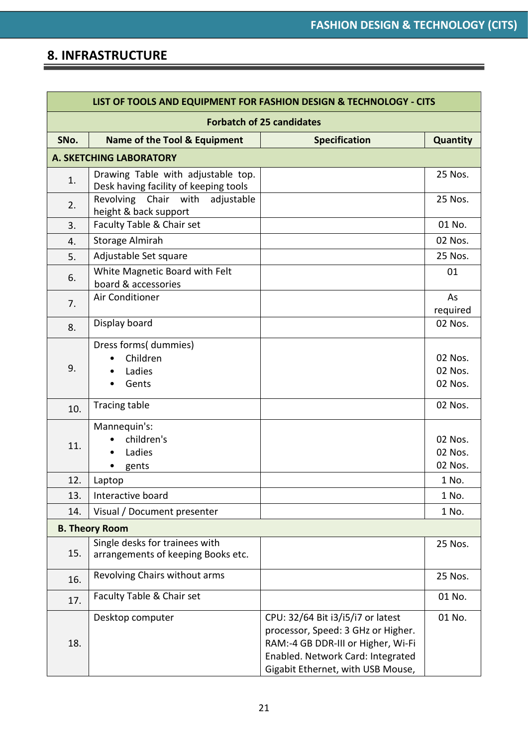#### **8. INFRASTRUCTURE**

| LIST OF TOOLS AND EQUIPMENT FOR FASHION DESIGN & TECHNOLOGY - CITS |                                                                             |                                                                                                                                                                                         |                               |
|--------------------------------------------------------------------|-----------------------------------------------------------------------------|-----------------------------------------------------------------------------------------------------------------------------------------------------------------------------------------|-------------------------------|
| <b>Forbatch of 25 candidates</b>                                   |                                                                             |                                                                                                                                                                                         |                               |
| SNo.                                                               | Name of the Tool & Equipment                                                | <b>Specification</b>                                                                                                                                                                    | <b>Quantity</b>               |
|                                                                    | <b>A. SKETCHING LABORATORY</b>                                              |                                                                                                                                                                                         |                               |
| 1.                                                                 | Drawing Table with adjustable top.<br>Desk having facility of keeping tools |                                                                                                                                                                                         | 25 Nos.                       |
| 2.                                                                 | Revolving Chair with<br>adjustable<br>height & back support                 |                                                                                                                                                                                         | 25 Nos.                       |
| 3.                                                                 | Faculty Table & Chair set                                                   |                                                                                                                                                                                         | 01 No.                        |
| 4.                                                                 | <b>Storage Almirah</b>                                                      |                                                                                                                                                                                         | 02 Nos.                       |
| 5.                                                                 | Adjustable Set square                                                       |                                                                                                                                                                                         | 25 Nos.                       |
| 6.                                                                 | White Magnetic Board with Felt<br>board & accessories                       |                                                                                                                                                                                         | 01                            |
| 7.                                                                 | Air Conditioner                                                             |                                                                                                                                                                                         | As                            |
|                                                                    |                                                                             |                                                                                                                                                                                         | required                      |
| 8.                                                                 | Display board                                                               |                                                                                                                                                                                         | 02 Nos.                       |
| 9.                                                                 | Dress forms( dummies)<br>Children<br>Ladies<br>Gents                        |                                                                                                                                                                                         | 02 Nos.<br>02 Nos.<br>02 Nos. |
| 10.                                                                | Tracing table                                                               |                                                                                                                                                                                         | 02 Nos.                       |
| 11.                                                                | Mannequin's:<br>children's<br>Ladies<br>gents                               |                                                                                                                                                                                         | 02 Nos.<br>02 Nos.<br>02 Nos. |
| 12.                                                                | Laptop                                                                      |                                                                                                                                                                                         | 1 No.                         |
| 13.                                                                | Interactive board                                                           |                                                                                                                                                                                         | 1 No.                         |
| 14.                                                                | Visual / Document presenter                                                 |                                                                                                                                                                                         | 1 No.                         |
|                                                                    | <b>B. Theory Room</b>                                                       |                                                                                                                                                                                         |                               |
| 15.                                                                | Single desks for trainees with<br>arrangements of keeping Books etc.        |                                                                                                                                                                                         | 25 Nos.                       |
| 16.                                                                | Revolving Chairs without arms                                               |                                                                                                                                                                                         | 25 Nos.                       |
| 17.                                                                | Faculty Table & Chair set                                                   |                                                                                                                                                                                         | 01 No.                        |
| 18.                                                                | Desktop computer                                                            | CPU: 32/64 Bit i3/i5/i7 or latest<br>processor, Speed: 3 GHz or Higher.<br>RAM:-4 GB DDR-III or Higher, Wi-Fi<br>Enabled. Network Card: Integrated<br>Gigabit Ethernet, with USB Mouse, | 01 No.                        |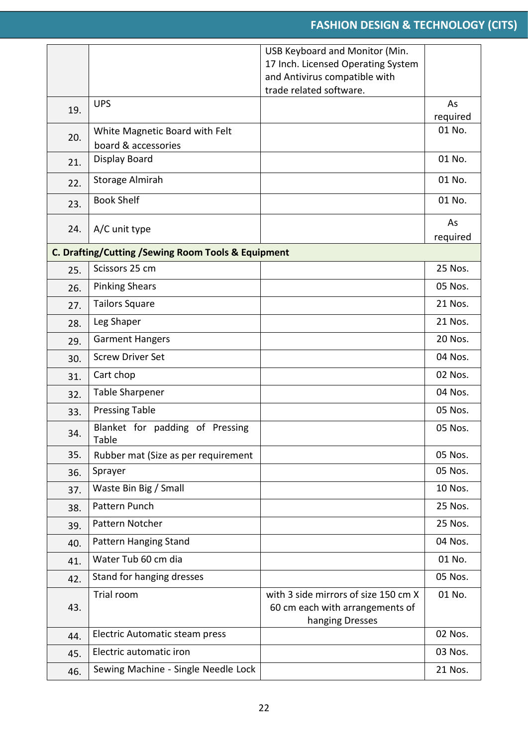|     |                                                     | USB Keyboard and Monitor (Min.                                      |                |
|-----|-----------------------------------------------------|---------------------------------------------------------------------|----------------|
|     |                                                     | 17 Inch. Licensed Operating System<br>and Antivirus compatible with |                |
|     |                                                     | trade related software.                                             |                |
| 19. | <b>UPS</b>                                          |                                                                     | As             |
|     |                                                     |                                                                     | required       |
| 20. | White Magnetic Board with Felt                      |                                                                     | 01 No.         |
|     | board & accessories<br><b>Display Board</b>         |                                                                     | 01 No.         |
| 21. |                                                     |                                                                     |                |
| 22. | Storage Almirah                                     |                                                                     | 01 No.         |
| 23. | <b>Book Shelf</b>                                   |                                                                     | 01 No.         |
| 24. | A/C unit type                                       |                                                                     | As<br>required |
|     | C. Drafting/Cutting / Sewing Room Tools & Equipment |                                                                     |                |
| 25. | Scissors 25 cm                                      |                                                                     | 25 Nos.        |
| 26. | <b>Pinking Shears</b>                               |                                                                     | 05 Nos.        |
| 27. | <b>Tailors Square</b>                               |                                                                     | 21 Nos.        |
| 28. | Leg Shaper                                          |                                                                     | 21 Nos.        |
| 29. | <b>Garment Hangers</b>                              |                                                                     | 20 Nos.        |
| 30. | <b>Screw Driver Set</b>                             |                                                                     | 04 Nos.        |
| 31. | Cart chop                                           |                                                                     | 02 Nos.        |
| 32. | <b>Table Sharpener</b>                              |                                                                     | 04 Nos.        |
| 33. | <b>Pressing Table</b>                               |                                                                     | 05 Nos.        |
| 34. | Blanket for padding of Pressing<br>Table            |                                                                     | 05 Nos.        |
| 35. | Rubber mat (Size as per requirement                 |                                                                     | 05 Nos.        |
| 36. | Sprayer                                             |                                                                     | 05 Nos.        |
| 37. | Waste Bin Big / Small                               |                                                                     | 10 Nos.        |
| 38. | Pattern Punch                                       |                                                                     | 25 Nos.        |
| 39. | Pattern Notcher                                     |                                                                     | 25 Nos.        |
| 40. | Pattern Hanging Stand                               |                                                                     | 04 Nos.        |
| 41. | Water Tub 60 cm dia                                 |                                                                     | 01 No.         |
| 42. | Stand for hanging dresses                           |                                                                     | 05 Nos.        |
|     | Trial room                                          | with 3 side mirrors of size 150 cm X                                | 01 No.         |
| 43. |                                                     | 60 cm each with arrangements of<br>hanging Dresses                  |                |
| 44. | Electric Automatic steam press                      |                                                                     | 02 Nos.        |
| 45. | Electric automatic iron                             |                                                                     | 03 Nos.        |
| 46. | Sewing Machine - Single Needle Lock                 |                                                                     | 21 Nos.        |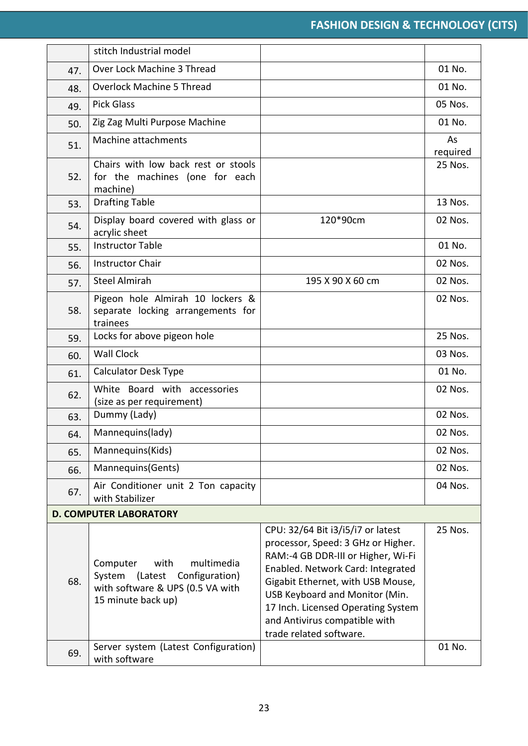|                               | stitch Industrial model                                                                                                         |                                                                                                                                                                                                                                                                                                                             |                |  |
|-------------------------------|---------------------------------------------------------------------------------------------------------------------------------|-----------------------------------------------------------------------------------------------------------------------------------------------------------------------------------------------------------------------------------------------------------------------------------------------------------------------------|----------------|--|
| 47.                           | Over Lock Machine 3 Thread                                                                                                      |                                                                                                                                                                                                                                                                                                                             | 01 No.         |  |
| 48.                           | <b>Overlock Machine 5 Thread</b>                                                                                                |                                                                                                                                                                                                                                                                                                                             | 01 No.         |  |
| 49.                           | <b>Pick Glass</b>                                                                                                               |                                                                                                                                                                                                                                                                                                                             | 05 Nos.        |  |
| 50.                           | Zig Zag Multi Purpose Machine                                                                                                   |                                                                                                                                                                                                                                                                                                                             | 01 No.         |  |
| 51.                           | Machine attachments                                                                                                             |                                                                                                                                                                                                                                                                                                                             | As<br>required |  |
| 52.                           | Chairs with low back rest or stools<br>for the machines (one for each<br>machine)                                               |                                                                                                                                                                                                                                                                                                                             | 25 Nos.        |  |
| 53.                           | <b>Drafting Table</b>                                                                                                           |                                                                                                                                                                                                                                                                                                                             | 13 Nos.        |  |
| 54.                           | Display board covered with glass or<br>acrylic sheet                                                                            | 120*90cm                                                                                                                                                                                                                                                                                                                    | 02 Nos.        |  |
| 55.                           | <b>Instructor Table</b>                                                                                                         |                                                                                                                                                                                                                                                                                                                             | 01 No.         |  |
| 56.                           | <b>Instructor Chair</b>                                                                                                         |                                                                                                                                                                                                                                                                                                                             | 02 Nos.        |  |
| 57.                           | <b>Steel Almirah</b>                                                                                                            | 195 X 90 X 60 cm                                                                                                                                                                                                                                                                                                            | 02 Nos.        |  |
| 58.                           | Pigeon hole Almirah 10 lockers &<br>separate locking arrangements for<br>trainees                                               |                                                                                                                                                                                                                                                                                                                             | 02 Nos.        |  |
| 59.                           | Locks for above pigeon hole                                                                                                     |                                                                                                                                                                                                                                                                                                                             | 25 Nos.        |  |
| 60.                           | <b>Wall Clock</b>                                                                                                               |                                                                                                                                                                                                                                                                                                                             | 03 Nos.        |  |
| 61.                           | <b>Calculator Desk Type</b>                                                                                                     |                                                                                                                                                                                                                                                                                                                             | 01 No.         |  |
| 62.                           | White Board with accessories<br>(size as per requirement)                                                                       |                                                                                                                                                                                                                                                                                                                             | 02 Nos.        |  |
| 63.                           | Dummy (Lady)                                                                                                                    |                                                                                                                                                                                                                                                                                                                             | 02 Nos.        |  |
| 64.                           | Mannequins(lady)                                                                                                                |                                                                                                                                                                                                                                                                                                                             | 02 Nos.        |  |
| 65.                           | Mannequins(Kids)                                                                                                                |                                                                                                                                                                                                                                                                                                                             | 02 Nos.        |  |
| 66.                           | Mannequins(Gents)                                                                                                               |                                                                                                                                                                                                                                                                                                                             | 02 Nos.        |  |
| 67.                           | Air Conditioner unit 2 Ton capacity<br>with Stabilizer                                                                          |                                                                                                                                                                                                                                                                                                                             | 04 Nos.        |  |
| <b>D. COMPUTER LABORATORY</b> |                                                                                                                                 |                                                                                                                                                                                                                                                                                                                             |                |  |
| 68.                           | multimedia<br>Computer<br>with<br>Configuration)<br>System<br>(Latest<br>with software & UPS (0.5 VA with<br>15 minute back up) | CPU: 32/64 Bit i3/i5/i7 or latest<br>processor, Speed: 3 GHz or Higher.<br>RAM:-4 GB DDR-III or Higher, Wi-Fi<br>Enabled. Network Card: Integrated<br>Gigabit Ethernet, with USB Mouse,<br>USB Keyboard and Monitor (Min.<br>17 Inch. Licensed Operating System<br>and Antivirus compatible with<br>trade related software. | 25 Nos.        |  |
| 69.                           | Server system (Latest Configuration)<br>with software                                                                           |                                                                                                                                                                                                                                                                                                                             | 01 No.         |  |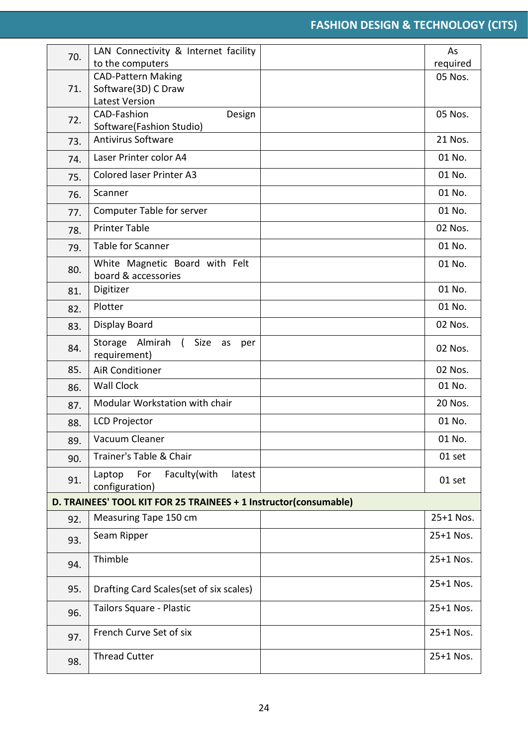| 70. | LAN Connectivity & Internet facility                                  | As        |
|-----|-----------------------------------------------------------------------|-----------|
|     | to the computers                                                      | required  |
|     | <b>CAD-Pattern Making</b>                                             | 05 Nos.   |
| 71. | Software(3D) C Draw                                                   |           |
|     | <b>Latest Version</b>                                                 |           |
| 72. | CAD-Fashion<br>Design                                                 | 05 Nos.   |
|     | Software(Fashion Studio)<br><b>Antivirus Software</b>                 | 21 Nos.   |
| 73. |                                                                       |           |
| 74. | Laser Printer color A4                                                | 01 No.    |
| 75. | <b>Colored laser Printer A3</b>                                       | 01 No.    |
| 76. | Scanner                                                               | 01 No.    |
| 77. | <b>Computer Table for server</b>                                      | 01 No.    |
| 78. | <b>Printer Table</b>                                                  | 02 Nos.   |
| 79. | <b>Table for Scanner</b>                                              | 01 No.    |
| 80. | White Magnetic Board with Felt<br>board & accessories                 | 01 No.    |
| 81. | Digitizer                                                             | 01 No.    |
| 82. | Plotter                                                               | 01 No.    |
| 83. | Display Board                                                         | 02 Nos.   |
| 84. | Almirah<br>Storage<br>$\sqrt{2}$<br>Size<br>as<br>per<br>requirement) | 02 Nos.   |
| 85. | <b>AiR Conditioner</b>                                                | 02 Nos.   |
| 86. | <b>Wall Clock</b>                                                     | 01 No.    |
| 87. | Modular Workstation with chair                                        | 20 Nos.   |
| 88. | <b>LCD Projector</b>                                                  | 01 No.    |
| 89. | Vacuum Cleaner                                                        | 01 No.    |
| 90. | Trainer's Table & Chair                                               | 01 set    |
| 91. | Faculty(with<br>Laptop<br>latest<br>For<br>configuration)             | 01 set    |
|     | D. TRAINEES' TOOL KIT FOR 25 TRAINEES + 1 Instructor(consumable)      |           |
| 92. | Measuring Tape 150 cm                                                 | 25+1 Nos. |
| 93. | Seam Ripper                                                           | 25+1 Nos. |
| 94. | Thimble                                                               | 25+1 Nos. |
| 95. | Drafting Card Scales (set of six scales)                              | 25+1 Nos. |
| 96. | Tailors Square - Plastic                                              | 25+1 Nos. |
| 97. | French Curve Set of six                                               | 25+1 Nos. |
| 98. | <b>Thread Cutter</b>                                                  | 25+1 Nos. |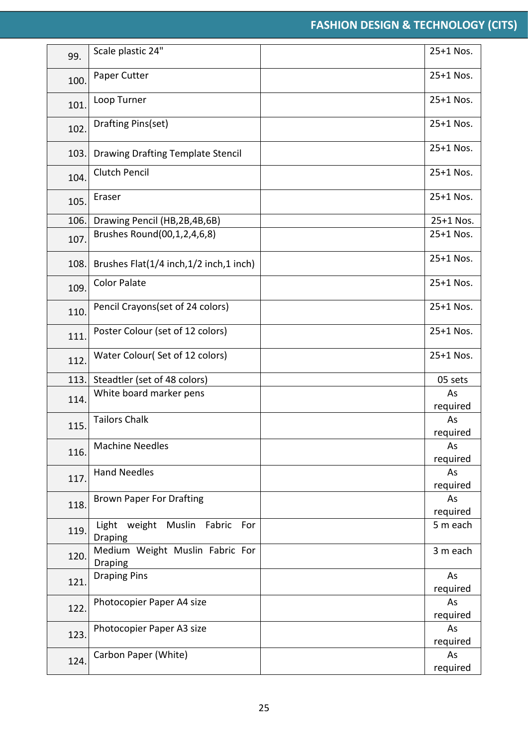| 99.  | Scale plastic 24"                                   | 25+1 Nos.      |
|------|-----------------------------------------------------|----------------|
| 100. | Paper Cutter                                        | 25+1 Nos.      |
| 101. | Loop Turner                                         | 25+1 Nos.      |
| 102. | Drafting Pins(set)                                  | 25+1 Nos.      |
| 103. | Drawing Drafting Template Stencil                   | 25+1 Nos.      |
| 104. | <b>Clutch Pencil</b>                                | 25+1 Nos.      |
| 105. | Eraser                                              | 25+1 Nos.      |
| 106. | Drawing Pencil (HB,2B,4B,6B)                        | 25+1 Nos.      |
| 107. | Brushes Round(00,1,2,4,6,8)                         | 25+1 Nos.      |
| 108. | Brushes Flat(1/4 inch,1/2 inch,1 inch)              | 25+1 Nos.      |
| 109. | <b>Color Palate</b>                                 | 25+1 Nos.      |
| 110. | Pencil Crayons(set of 24 colors)                    | 25+1 Nos.      |
| 111. | Poster Colour (set of 12 colors)                    | 25+1 Nos.      |
| 112. | Water Colour(Set of 12 colors)                      | 25+1 Nos.      |
| 113. | Steadtler (set of 48 colors)                        | 05 sets        |
| 114. | White board marker pens                             | As<br>required |
| 115. | <b>Tailors Chalk</b>                                | As<br>required |
| 116. | <b>Machine Needles</b>                              | As<br>required |
|      | <b>Hand Needles</b>                                 | As             |
| 117. |                                                     | required       |
|      | <b>Brown Paper For Drafting</b>                     | As             |
| 118. |                                                     | required       |
| 119. | Light weight Muslin Fabric<br>For<br><b>Draping</b> | 5 m each       |
| 120. | Medium Weight Muslin Fabric For<br><b>Draping</b>   | 3 m each       |
| 121. | <b>Draping Pins</b>                                 | As<br>required |
|      | Photocopier Paper A4 size                           | As             |
| 122. |                                                     | required       |
|      | Photocopier Paper A3 size                           | As             |
| 123. |                                                     | required       |
| 124. | Carbon Paper (White)                                | As             |
|      |                                                     | required       |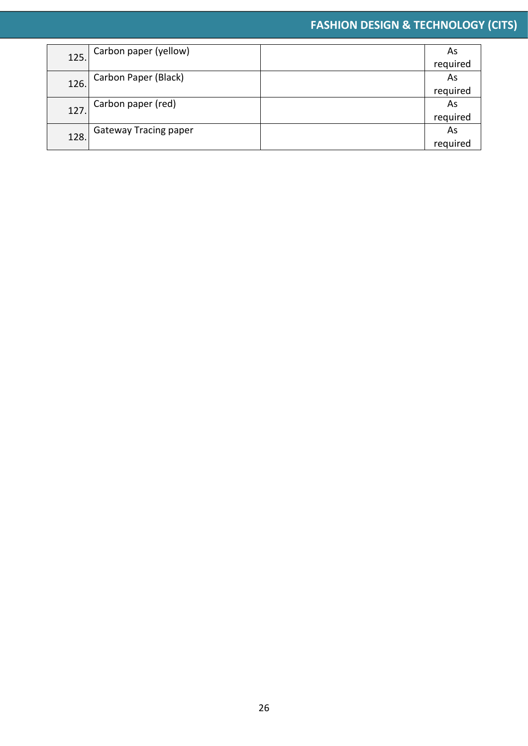| 125. | Carbon paper (yellow)        | As       |
|------|------------------------------|----------|
|      |                              | required |
| 126. | Carbon Paper (Black)         | As       |
|      |                              | required |
| 127. | Carbon paper (red)           | As       |
|      |                              | required |
| 128. | <b>Gateway Tracing paper</b> | As       |
|      |                              | required |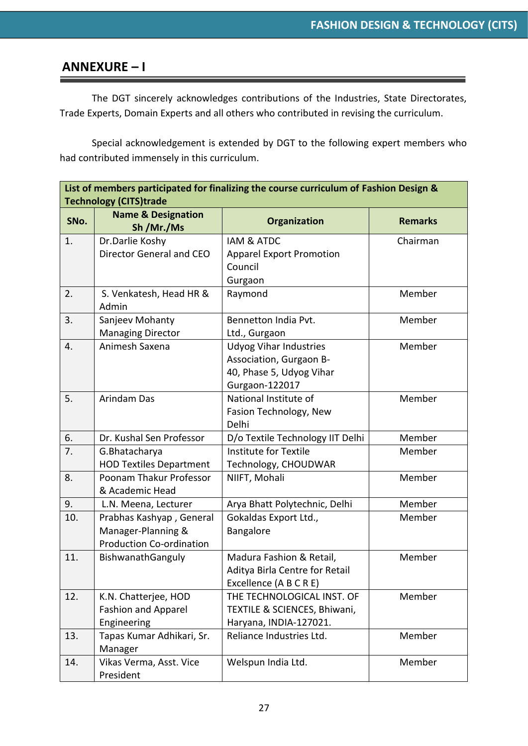#### **ANNEXURE – I**

The DGT sincerely acknowledges contributions of the Industries, State Directorates, Trade Experts, Domain Experts and all others who contributed in revising the curriculum.

Special acknowledgement is extended by DGT to the following expert members who had contributed immensely in this curriculum.

| List of members participated for finalizing the course curriculum of Fashion Design &<br><b>Technology (CITS)trade</b> |                                             |                                         |                |
|------------------------------------------------------------------------------------------------------------------------|---------------------------------------------|-----------------------------------------|----------------|
| SNo.                                                                                                                   | <b>Name &amp; Designation</b><br>Sh /Mr./Ms | Organization                            | <b>Remarks</b> |
| 1.                                                                                                                     | Dr.Darlie Koshy                             | <b>IAM &amp; ATDC</b>                   | Chairman       |
|                                                                                                                        | Director General and CEO                    | <b>Apparel Export Promotion</b>         |                |
|                                                                                                                        |                                             | Council                                 |                |
|                                                                                                                        |                                             | Gurgaon                                 |                |
| 2.                                                                                                                     | S. Venkatesh, Head HR &<br>Admin            | Raymond                                 | Member         |
| 3.                                                                                                                     | Sanjeev Mohanty                             | Bennetton India Pvt.                    | Member         |
|                                                                                                                        | <b>Managing Director</b>                    | Ltd., Gurgaon                           |                |
| 4.                                                                                                                     | Animesh Saxena                              | <b>Udyog Vihar Industries</b>           | Member         |
|                                                                                                                        |                                             | Association, Gurgaon B-                 |                |
|                                                                                                                        |                                             | 40, Phase 5, Udyog Vihar                |                |
|                                                                                                                        |                                             | Gurgaon-122017<br>National Institute of |                |
| 5.                                                                                                                     | <b>Arindam Das</b>                          |                                         | Member         |
|                                                                                                                        |                                             | Fasion Technology, New<br>Delhi         |                |
| 6.                                                                                                                     | Dr. Kushal Sen Professor                    | D/o Textile Technology IIT Delhi        | Member         |
| 7.                                                                                                                     | G.Bhatacharya                               | Institute for Textile                   | Member         |
|                                                                                                                        | <b>HOD Textiles Department</b>              | Technology, CHOUDWAR                    |                |
| 8.                                                                                                                     | Poonam Thakur Professor                     | NIIFT, Mohali                           | Member         |
|                                                                                                                        | & Academic Head                             |                                         |                |
| 9.                                                                                                                     | L.N. Meena, Lecturer                        | Arya Bhatt Polytechnic, Delhi           | Member         |
| 10.                                                                                                                    | Prabhas Kashyap, General                    | Gokaldas Export Ltd.,                   | Member         |
|                                                                                                                        | Manager-Planning &                          | Bangalore                               |                |
|                                                                                                                        | <b>Production Co-ordination</b>             |                                         |                |
| 11.                                                                                                                    | BishwanathGanguly                           | Madura Fashion & Retail,                | Member         |
|                                                                                                                        |                                             | Aditya Birla Centre for Retail          |                |
|                                                                                                                        |                                             | Excellence (A B C R E)                  |                |
| 12.                                                                                                                    | K.N. Chatterjee, HOD                        | THE TECHNOLOGICAL INST. OF              | Member         |
|                                                                                                                        | <b>Fashion and Apparel</b>                  | TEXTILE & SCIENCES, Bhiwani,            |                |
|                                                                                                                        | Engineering                                 | Haryana, INDIA-127021.                  |                |
| 13.                                                                                                                    | Tapas Kumar Adhikari, Sr.                   | Reliance Industries Ltd.                | Member         |
|                                                                                                                        | Manager                                     |                                         | Member         |
| 14.                                                                                                                    | Vikas Verma, Asst. Vice<br>President        | Welspun India Ltd.                      |                |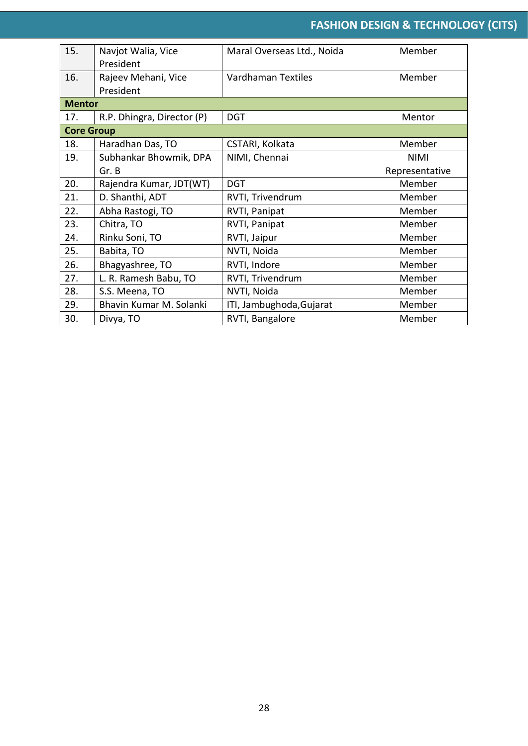| 15.               | Navjot Walia, Vice         | Maral Overseas Ltd., Noida | Member         |
|-------------------|----------------------------|----------------------------|----------------|
|                   | President                  |                            |                |
| 16.               | Rajeev Mehani, Vice        | <b>Vardhaman Textiles</b>  | Member         |
|                   | President                  |                            |                |
| <b>Mentor</b>     |                            |                            |                |
| 17.               | R.P. Dhingra, Director (P) | <b>DGT</b>                 | Mentor         |
| <b>Core Group</b> |                            |                            |                |
| 18.               | Haradhan Das, TO           | CSTARI, Kolkata            | Member         |
| 19.               | Subhankar Bhowmik, DPA     | NIMI, Chennai              | <b>NIMI</b>    |
|                   | Gr. B                      |                            | Representative |
| 20.               | Rajendra Kumar, JDT(WT)    | <b>DGT</b>                 | Member         |
| 21.               | D. Shanthi, ADT            | RVTI, Trivendrum           | Member         |
| 22.               | Abha Rastogi, TO           | RVTI, Panipat              | Member         |
| 23.               | Chitra, TO                 | RVTI, Panipat              | Member         |
| 24.               | Rinku Soni, TO             | RVTI, Jaipur               | Member         |
| 25.               | Babita, TO                 | NVTI, Noida                | Member         |
| 26.               | Bhagyashree, TO            | RVTI, Indore               | Member         |
| 27.               | L. R. Ramesh Babu, TO      | RVTI, Trivendrum           | Member         |
| 28.               | S.S. Meena, TO             | NVTI, Noida                | Member         |
| 29.               | Bhavin Kumar M. Solanki    | ITI, Jambughoda, Gujarat   | Member         |
| 30.               | Divya, TO                  | RVTI, Bangalore            | Member         |